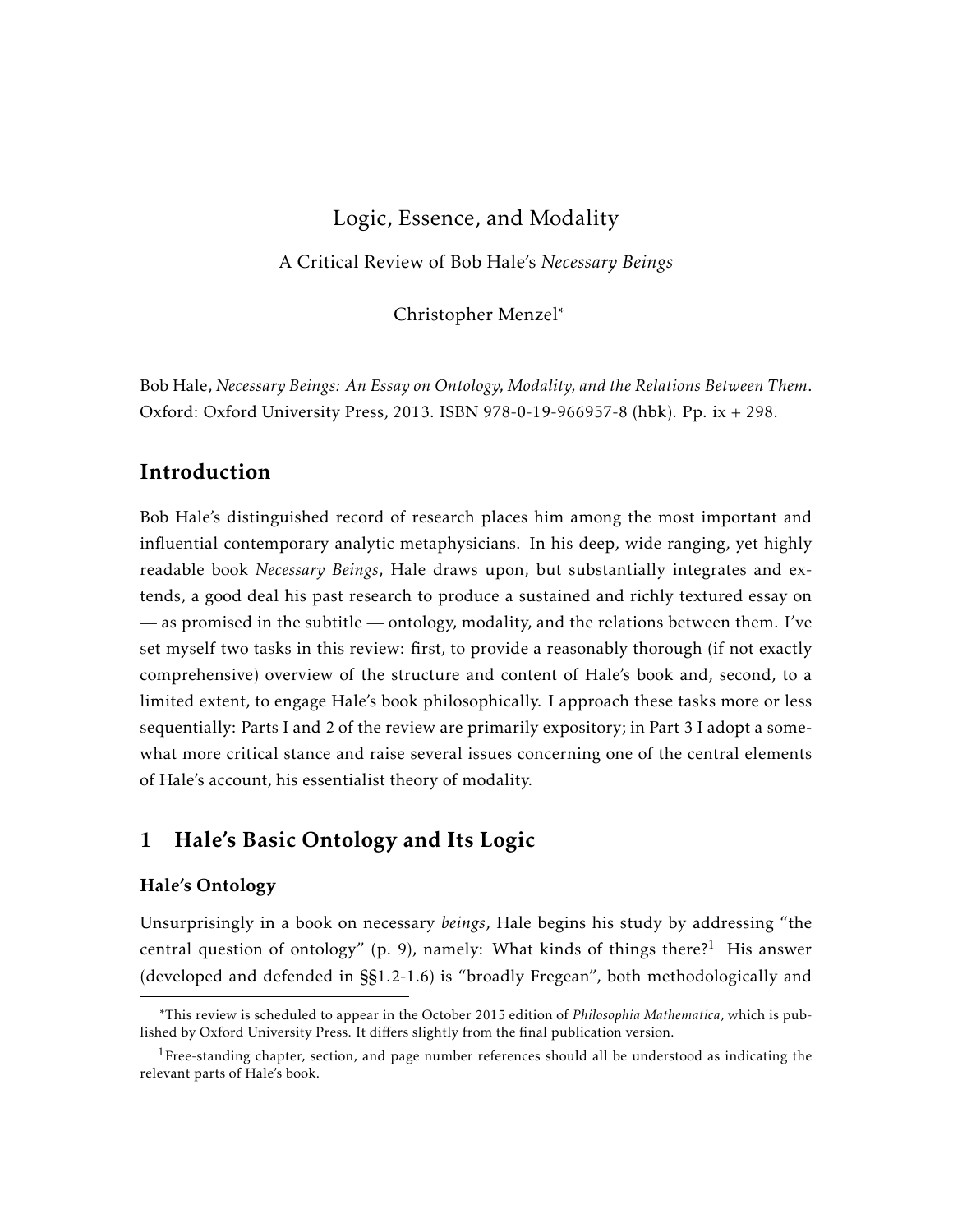## Logic, Essence, and Modality

A Critical Review of Bob Hale's *Necessary Beings*

Christopher Menzel<sup>∗</sup>

Bob Hale, *Necessary Beings: An Essay on Ontology, Modality, and the Relations Between Them*. Oxford: Oxford University Press, 2013. ISBN 978-0-19-966957-8 (hbk). Pp. ix + 298.

# Introduction

Bob Hale's distinguished record of research places him among the most important and influential contemporary analytic metaphysicians. In his deep, wide ranging, yet highly readable book *Necessary Beings*, Hale draws upon, but substantially integrates and extends, a good deal his past research to produce a sustained and richly textured essay on — as promised in the subtitle — ontology, modality, and the relations between them. I've set myself two tasks in this review: first, to provide a reasonably thorough (if not exactly comprehensive) overview of the structure and content of Hale's book and, second, to a limited extent, to engage Hale's book philosophically. I approach these tasks more or less sequentially: Parts I and 2 of the review are primarily expository; in Part 3 I adopt a somewhat more critical stance and raise several issues concerning one of the central elements of Hale's account, his essentialist theory of modality.

# 1 Hale's Basic Ontology and Its Logic

### Hale's Ontology

Unsurprisingly in a book on necessary *beings*, Hale begins his study by addressing "the central question of ontology" (p. 9), namely: What kinds of things there?<sup>1</sup> His answer (developed and defended in §§1.2-1.6) is "broadly Fregean", both methodologically and

<sup>∗</sup>This review is scheduled to appear in the October 2015 edition of *Philosophia Mathematica*, which is published by Oxford University Press. It differs slightly from the final publication version.

 ${}^{1}$ Free-standing chapter, section, and page number references should all be understood as indicating the relevant parts of Hale's book.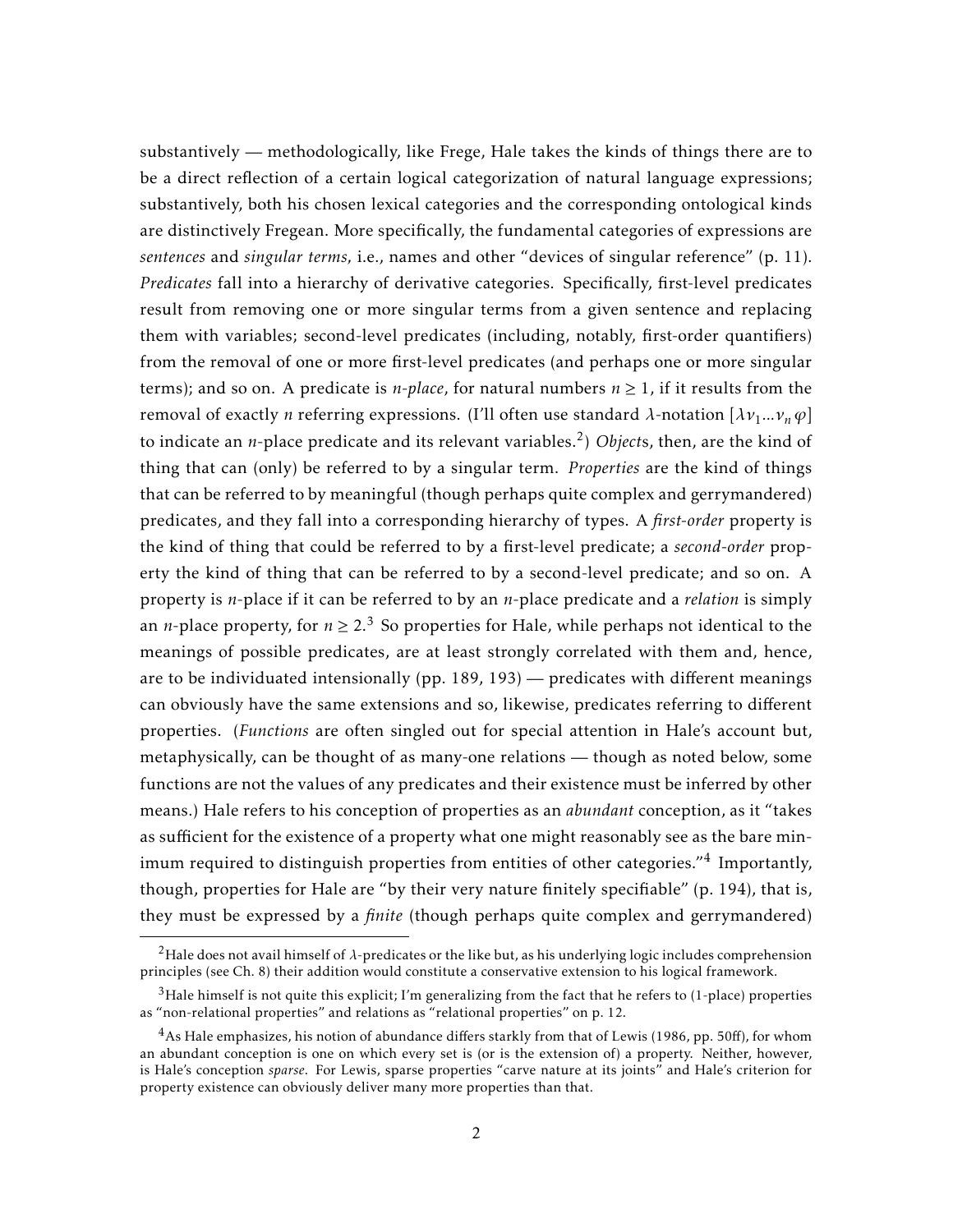substantively — methodologically, like Frege, Hale takes the kinds of things there are to be a direct reflection of a certain logical categorization of natural language expressions; substantively, both his chosen lexical categories and the corresponding ontological kinds are distinctively Fregean. More specifically, the fundamental categories of expressions are *sentences* and *singular terms,* i.e., names and other "devices of singular reference" (p. 11). *Predicates* fall into a hierarchy of derivative categories. Specifically, first-level predicates result from removing one or more singular terms from a given sentence and replacing them with variables; second-level predicates (including, notably, first-order quantifiers) from the removal of one or more first-level predicates (and perhaps one or more singular terms); and so on. A predicate is *n*-place, for natural numbers  $n \ge 1$ , if it results from the removal of exactly *n* referring expressions. (I'll often use standard *λ*-notation  $[\lambda v_1 ... v_n \varphi]$ to indicate an *n-*place predicate and its relevant variables.<sup>2</sup>) *Object*s, then, are the kind of thing that can (only) be referred to by a singular term. *Properties* are the kind of things that can be referred to by meaningful (though perhaps quite complex and gerrymandered) predicates, and they fall into a corresponding hierarchy of types. A *first-order* property is the kind of thing that could be referred to by a first-level predicate; a *second-order* property the kind of thing that can be referred to by a second-level predicate; and so on. A property is *n*-place if it can be referred to by an *n*-place predicate and a *relation* is simply an *n*-place property, for  $n \ge 2$ <sup>3</sup> So properties for Hale, while perhaps not identical to the meanings of possible predicates, are at least strongly correlated with them and, hence, are to be individuated intensionally (pp. 189, 193) — predicates with different meanings can obviously have the same extensions and so, likewise, predicates referring to different properties. (*Functions* are often singled out for special attention in Hale's account but, metaphysically, can be thought of as many-one relations — though as noted below, some functions are not the values of any predicates and their existence must be inferred by other means.) Hale refers to his conception of properties as an *abundant* conception, as it "takes as sufficient for the existence of a property what one might reasonably see as the bare minimum required to distinguish properties from entities of other categories."<sup>4</sup> Importantly, though, properties for Hale are "by their very nature finitely specifiable" (p. 194), that is, they must be expressed by a *finite* (though perhaps quite complex and gerrymandered)

<sup>2</sup>Hale does not avail himself of *λ*-predicates or the like but, as his underlying logic includes comprehension principles (see Ch. 8) their addition would constitute a conservative extension to his logical framework.

 $3$ Hale himself is not quite this explicit; I'm generalizing from the fact that he refers to (1-place) properties as "non-relational properties" and relations as "relational properties" on p. 12.

 $4$ As Hale emphasizes, his notion of abundance differs starkly from that of Lewis (1986, pp. 50ff), for whom an abundant conception is one on which every set is (or is the extension of) a property. Neither, however, is Hale's conception *sparse*. For Lewis, sparse properties "carve nature at its joints" and Hale's criterion for property existence can obviously deliver many more properties than that.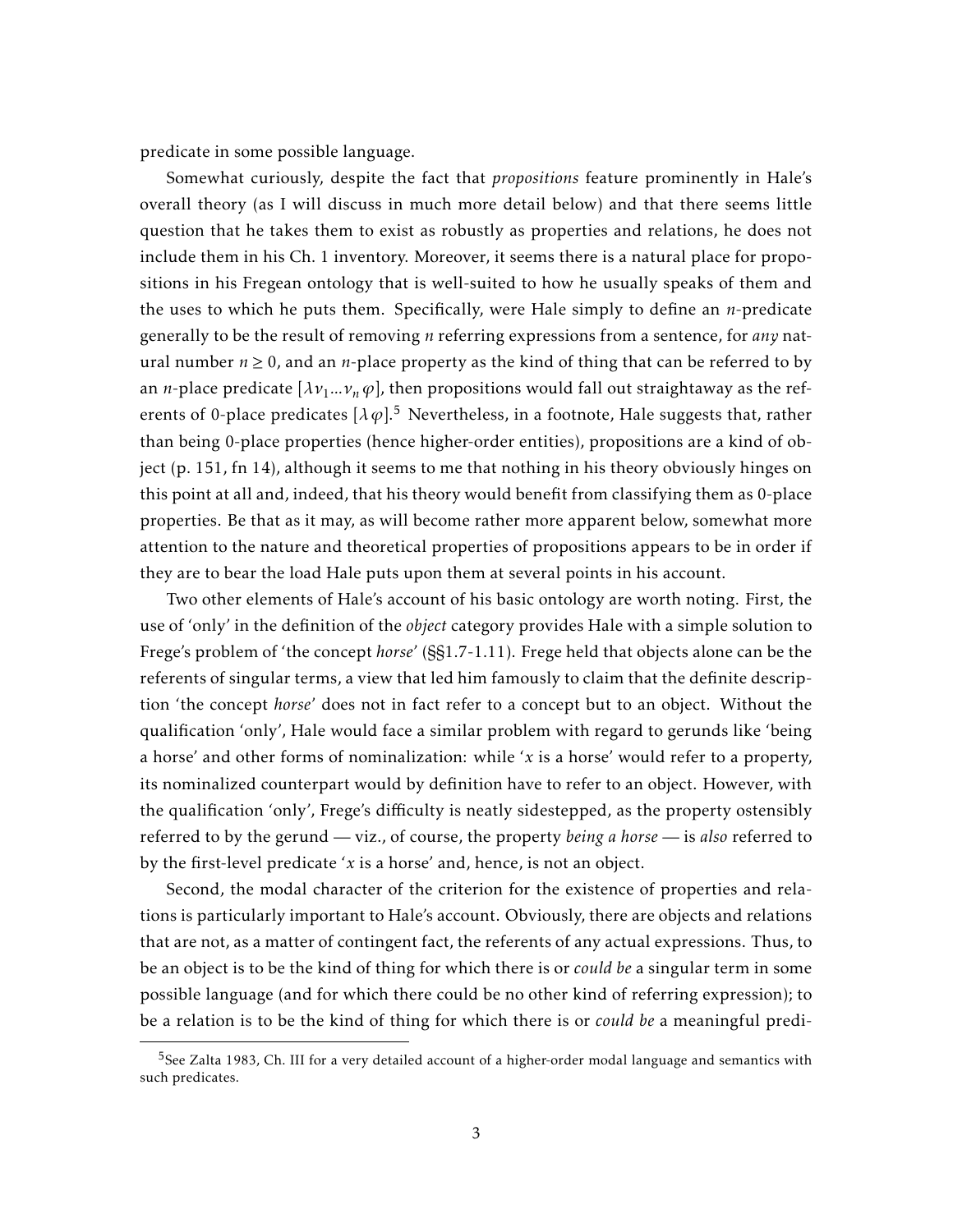predicate in some possible language.

Somewhat curiously, despite the fact that *propositions* feature prominently in Hale's overall theory (as I will discuss in much more detail below) and that there seems little question that he takes them to exist as robustly as properties and relations, he does not include them in his Ch. 1 inventory. Moreover, it seems there is a natural place for propositions in his Fregean ontology that is well-suited to how he usually speaks of them and the uses to which he puts them. Specifically, were Hale simply to define an *n*-predicate generally to be the result of removing *n* referring expressions from a sentence, for *any* natural number  $n \geq 0$ , and an *n*-place property as the kind of thing that can be referred to by an *n*-place predicate  $[\lambda v_1 ... v_n \varphi]$ , then propositions would fall out straightaway as the referents of 0-place predicates  $[\lambda \varphi]$ .<sup>5</sup> Nevertheless, in a footnote, Hale suggests that, rather than being 0-place properties (hence higher-order entities), propositions are a kind of object (p. 151, fn 14), although it seems to me that nothing in his theory obviously hinges on this point at all and, indeed, that his theory would benefit from classifying them as 0-place properties. Be that as it may, as will become rather more apparent below, somewhat more attention to the nature and theoretical properties of propositions appears to be in order if they are to bear the load Hale puts upon them at several points in his account.

Two other elements of Hale's account of his basic ontology are worth noting. First, the use of 'only' in the definition of the *object* category provides Hale with a simple solution to Frege's problem of 'the concept *horse*' (§§1.7-1.11). Frege held that objects alone can be the referents of singular terms, a view that led him famously to claim that the definite description 'the concept *horse*' does not in fact refer to a concept but to an object. Without the qualification 'only', Hale would face a similar problem with regard to gerunds like 'being a horse' and other forms of nominalization: while '*x* is a horse' would refer to a property, its nominalized counterpart would by definition have to refer to an object. However, with the qualification 'only', Frege's difficulty is neatly sidestepped, as the property ostensibly referred to by the gerund — viz., of course, the property *being a horse* — is *also* referred to by the first-level predicate '*x* is a horse' and, hence, is not an object.

Second, the modal character of the criterion for the existence of properties and relations is particularly important to Hale's account. Obviously, there are objects and relations that are not, as a matter of contingent fact, the referents of any actual expressions. Thus, to be an object is to be the kind of thing for which there is or *could be* a singular term in some possible language (and for which there could be no other kind of referring expression); to be a relation is to be the kind of thing for which there is or *could be* a meaningful predi-

<sup>&</sup>lt;sup>5</sup>See Zalta 1983, Ch. III for a very detailed account of a higher-order modal language and semantics with such predicates.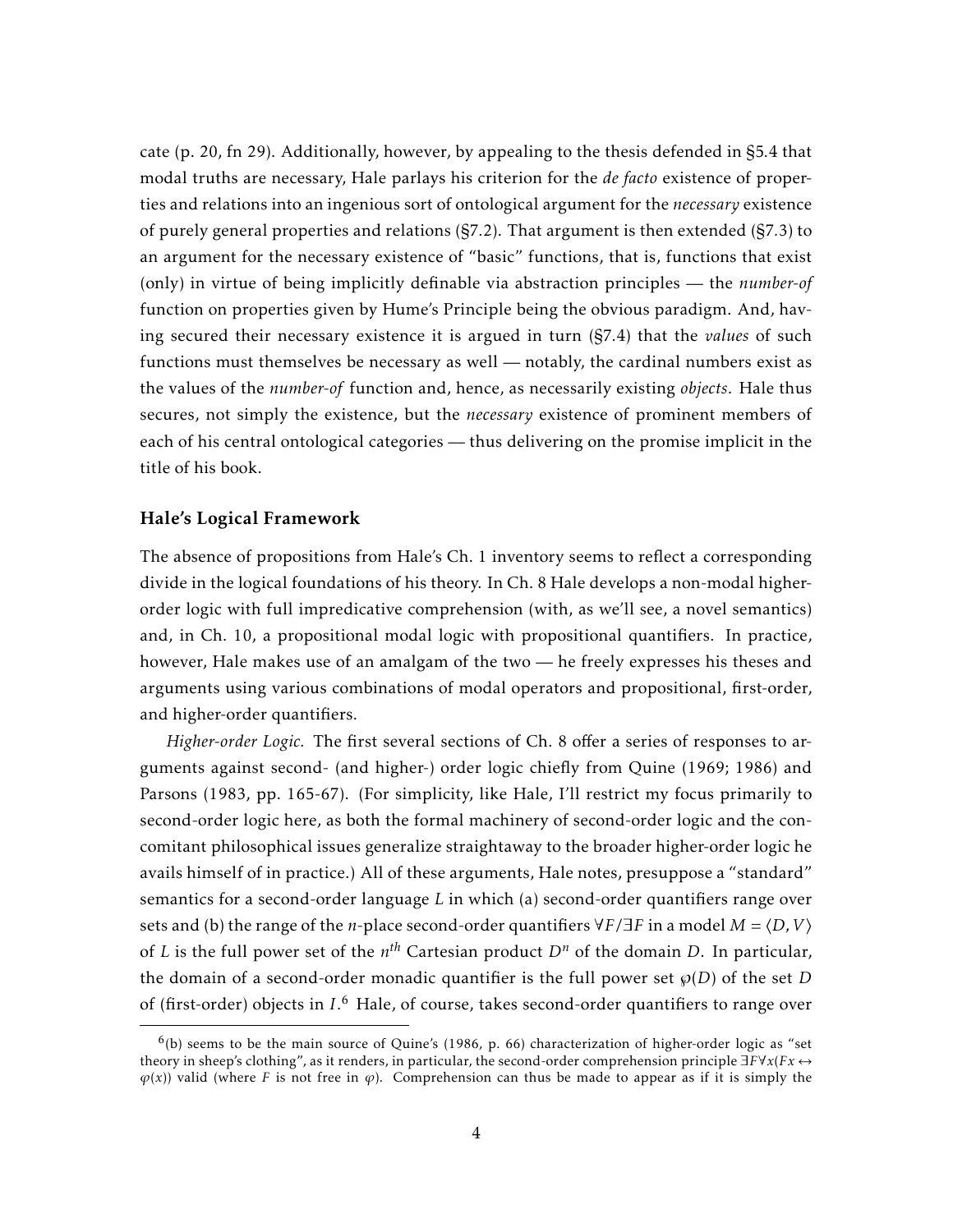cate (p. 20, fn 29). Additionally, however, by appealing to the thesis defended in §5*.*4 that modal truths are necessary, Hale parlays his criterion for the *de facto* existence of properties and relations into an ingenious sort of ontological argument for the *necessary* existence of purely general properties and relations (§7*.*2). That argument is then extended (§7*.*3) to an argument for the necessary existence of "basic" functions, that is, functions that exist (only) in virtue of being implicitly definable via abstraction principles — the *number-of* function on properties given by Hume's Principle being the obvious paradigm. And, having secured their necessary existence it is argued in turn (§7*.*4) that the *values* of such functions must themselves be necessary as well — notably, the cardinal numbers exist as the values of the *number-of* function and, hence, as necessarily existing *objects*. Hale thus secures, not simply the existence, but the *necessary* existence of prominent members of each of his central ontological categories — thus delivering on the promise implicit in the title of his book.

### Hale's Logical Framework

The absence of propositions from Hale's Ch. 1 inventory seems to reflect a corresponding divide in the logical foundations of his theory. In Ch. 8 Hale develops a non-modal higherorder logic with full impredicative comprehension (with, as we'll see, a novel semantics) and, in Ch. 10, a propositional modal logic with propositional quantifiers. In practice, however, Hale makes use of an amalgam of the two — he freely expresses his theses and arguments using various combinations of modal operators and propositional, first-order, and higher-order quantifiers.

*Higher-order Logic.* The first several sections of Ch. 8 offer a series of responses to arguments against second- (and higher-) order logic chiefly from Quine (1969; 1986) and Parsons (1983, pp. 165-67). (For simplicity, like Hale, I'll restrict my focus primarily to second-order logic here, as both the formal machinery of second-order logic and the concomitant philosophical issues generalize straightaway to the broader higher-order logic he avails himself of in practice.) All of these arguments, Hale notes, presuppose a "standard" semantics for a second-order language *L* in which (a) second-order quantifiers range over sets and (b) the range of the *n*-place second-order quantifiers  $\forall F/\exists F$  in a model  $M = \langle D, V \rangle$ of *L* is the full power set of the *n th* Cartesian product *D<sup>n</sup>* of the domain *D*. In particular, the domain of a second-order monadic quantifier is the full power set  $\wp(D)$  of the set *D* of (first-order) objects in *I*. <sup>6</sup> Hale, of course, takes second-order quantifiers to range over

 $<sup>6</sup>(b)$  seems to be the main source of Quine's (1986, p. 66) characterization of higher-order logic as "set</sup> theory in sheep's clothing", as it renders, in particular, the second-order comprehension principle ∃*F*∀*x*(*Fx* ↔  $\varphi(x)$ ) valid (where *F* is not free in  $\varphi$ ). Comprehension can thus be made to appear as if it is simply the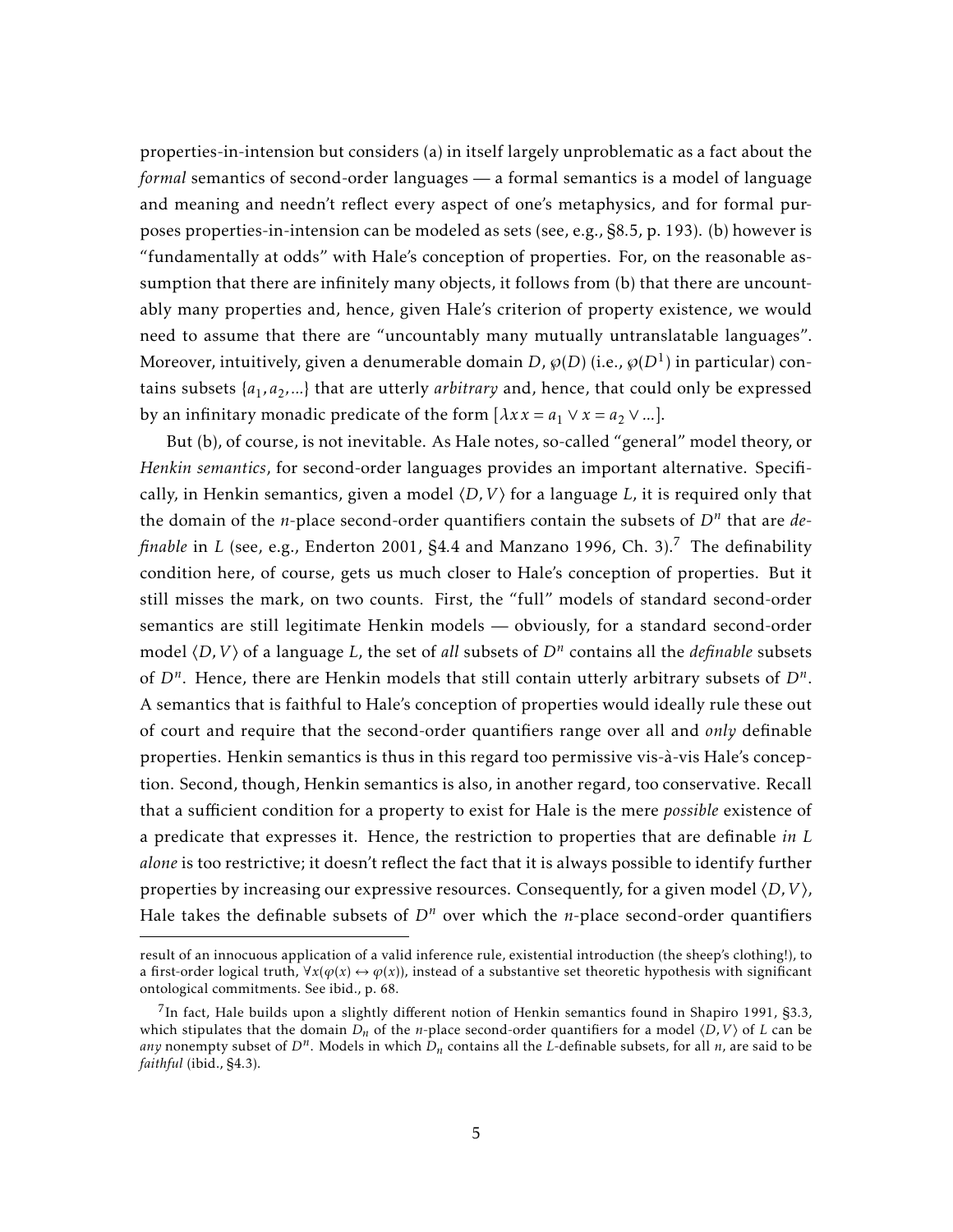properties-in-intension but considers (a) in itself largely unproblematic as a fact about the *formal* semantics of second-order languages — a formal semantics is a model of language and meaning and needn't reflect every aspect of one's metaphysics, and for formal purposes properties-in-intension can be modeled as sets (see, e.g., §8*.*5, p. 193). (b) however is "fundamentally at odds" with Hale's conception of properties. For, on the reasonable assumption that there are infinitely many objects, it follows from (b) that there are uncountably many properties and, hence, given Hale's criterion of property existence, we would need to assume that there are "uncountably many mutually untranslatable languages". Moreover, intuitively, given a denumerable domain *D*, *℘*(*D*) (i.e., *℘*(*D*<sup>1</sup> ) in particular) contains subsets {*a*1*,a*2*,...*} that are utterly *arbitrary* and, hence, that could only be expressed by an infinitary monadic predicate of the form  $[\lambda x x = a_1 \lor x = a_2 \lor ...]$ .

But (b), of course, is not inevitable. As Hale notes, so-called "general" model theory, or *Henkin semantics*, for second-order languages provides an important alternative. Specifically, in Henkin semantics, given a model  $\langle D, V \rangle$  for a language *L*, it is required only that the domain of the *n*-place second-order quantifiers contain the subsets of *D<sup>n</sup>* that are *definable* in *L* (see, e.g., Enderton 2001, §4*.*4 and Manzano 1996, Ch. 3).<sup>7</sup> The definability condition here, of course, gets us much closer to Hale's conception of properties. But it still misses the mark, on two counts. First, the "full" models of standard second-order semantics are still legitimate Henkin models — obviously, for a standard second-order model  $\langle D,V \rangle$  of a language *L*, the set of *all* subsets of  $D^n$  contains all the *definable* subsets of *D<sup>n</sup>* . Hence, there are Henkin models that still contain utterly arbitrary subsets of *D<sup>n</sup>* . A semantics that is faithful to Hale's conception of properties would ideally rule these out of court and require that the second-order quantifiers range over all and *only* definable properties. Henkin semantics is thus in this regard too permissive vis-à-vis Hale's conception. Second, though, Henkin semantics is also, in another regard, too conservative. Recall that a sufficient condition for a property to exist for Hale is the mere *possible* existence of a predicate that expresses it. Hence, the restriction to properties that are definable *in L alone* is too restrictive; it doesn't reflect the fact that it is always possible to identify further properties by increasing our expressive resources. Consequently, for a given model  $(D, V)$ , Hale takes the definable subsets of  $D^n$  over which the *n*-place second-order quantifiers

result of an innocuous application of a valid inference rule, existential introduction (the sheep's clothing!), to a first-order logical truth,  $\forall x(\varphi(x) \leftrightarrow \varphi(x))$ , instead of a substantive set theoretic hypothesis with significant ontological commitments. See ibid., p. 68.

 $^{7}$ In fact, Hale builds upon a slightly different notion of Henkin semantics found in Shapiro 1991, §3.3, which stipulates that the domain  $D_n$  of the *n*-place second-order quantifiers for a model  $\langle D, V \rangle$  of *L* can be *any* nonempty subset of  $D^n$ . Models in which  $D_n$  contains all the  $L$ -definable subsets, for all  $n$ , are said to be *faithful* (ibid., §4.3).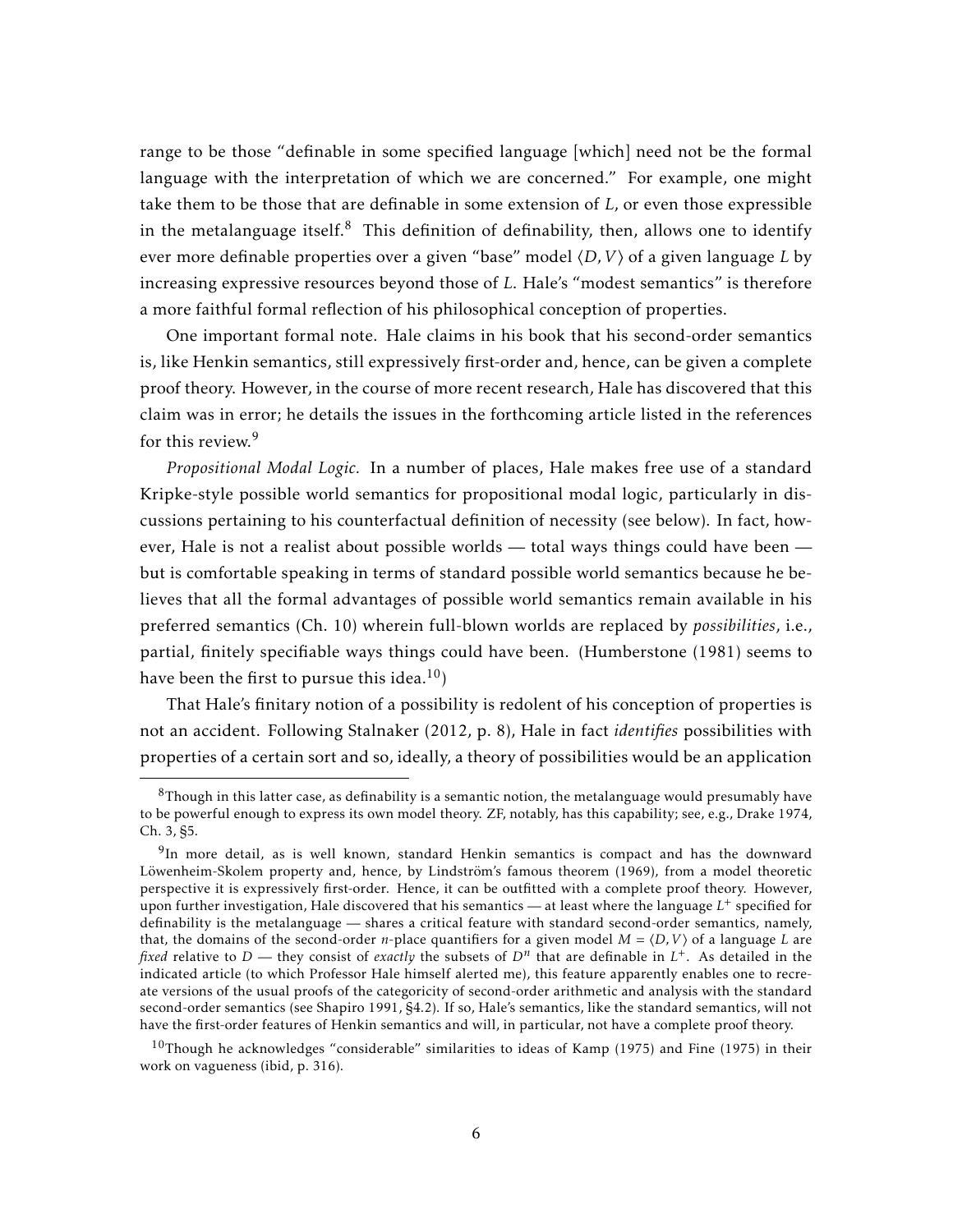range to be those "definable in some specified language [which] need not be the formal language with the interpretation of which we are concerned." For example, one might take them to be those that are definable in some extension of *L*, or even those expressible in the metalanguage itself.<sup>8</sup> This definition of definability, then, allows one to identify ever more definable properties over a given "base" model  $\langle D, V \rangle$  of a given language *L* by increasing expressive resources beyond those of *L*. Hale's "modest semantics" is therefore a more faithful formal reflection of his philosophical conception of properties.

One important formal note. Hale claims in his book that his second-order semantics is, like Henkin semantics, still expressively first-order and, hence, can be given a complete proof theory. However, in the course of more recent research, Hale has discovered that this claim was in error; he details the issues in the forthcoming article listed in the references for this review.<sup>9</sup>

*Propositional Modal Logic.* In a number of places, Hale makes free use of a standard Kripke-style possible world semantics for propositional modal logic, particularly in discussions pertaining to his counterfactual definition of necessity (see below). In fact, however, Hale is not a realist about possible worlds — total ways things could have been but is comfortable speaking in terms of standard possible world semantics because he believes that all the formal advantages of possible world semantics remain available in his preferred semantics (Ch. 10) wherein full-blown worlds are replaced by *possibilities*, i.e., partial, finitely specifiable ways things could have been. (Humberstone (1981) seems to have been the first to pursue this idea.<sup>10</sup>)

That Hale's finitary notion of a possibility is redolent of his conception of properties is not an accident. Following Stalnaker (2012, p. 8), Hale in fact *identifies* possibilities with properties of a certain sort and so, ideally, a theory of possibilities would be an application

 $8$ Though in this latter case, as definability is a semantic notion, the metalanguage would presumably have to be powerful enough to express its own model theory. ZF, notably, has this capability; see, e.g., Drake 1974, Ch. 3, §5.

<sup>&</sup>lt;sup>9</sup>In more detail, as is well known, standard Henkin semantics is compact and has the downward Löwenheim-Skolem property and, hence, by Lindström's famous theorem (1969), from a model theoretic perspective it is expressively first-order. Hence, it can be outfitted with a complete proof theory. However, upon further investigation, Hale discovered that his semantics — at least where the language *L* <sup>+</sup> specified for definability is the metalanguage — shares a critical feature with standard second-order semantics, namely, that, the domains of the second-order *n*-place quantifiers for a given model  $M = \langle D, V \rangle$  of a language *L* are *fixed* relative to *D* — they consist of *exactly* the subsets of  $D^n$  that are definable in  $L^+$ . As detailed in the indicated article (to which Professor Hale himself alerted me), this feature apparently enables one to recreate versions of the usual proofs of the categoricity of second-order arithmetic and analysis with the standard second-order semantics (see Shapiro 1991, §4.2). If so, Hale's semantics, like the standard semantics, will not have the first-order features of Henkin semantics and will, in particular, not have a complete proof theory.

 $10$ Though he acknowledges "considerable" similarities to ideas of Kamp (1975) and Fine (1975) in their work on vagueness (ibid, p. 316).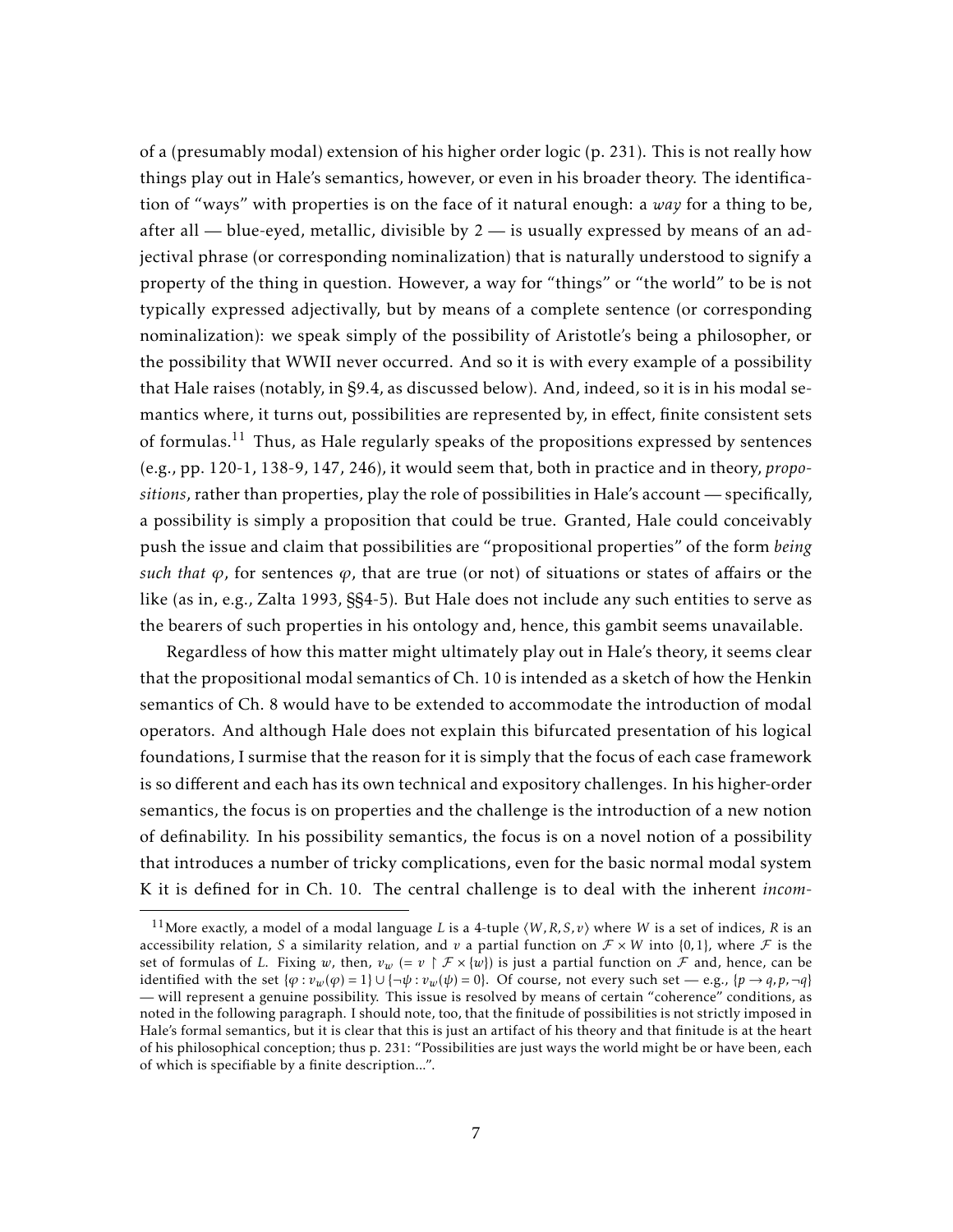of a (presumably modal) extension of his higher order logic (p. 231). This is not really how things play out in Hale's semantics, however, or even in his broader theory. The identification of "ways" with properties is on the face of it natural enough: a *way* for a thing to be, after all  $-$  blue-eyed, metallic, divisible by  $2 -$  is usually expressed by means of an adjectival phrase (or corresponding nominalization) that is naturally understood to signify a property of the thing in question. However, a way for "things" or "the world" to be is not typically expressed adjectivally, but by means of a complete sentence (or corresponding nominalization): we speak simply of the possibility of Aristotle's being a philosopher, or the possibility that WWII never occurred. And so it is with every example of a possibility that Hale raises (notably, in §9.4, as discussed below). And, indeed, so it is in his modal semantics where, it turns out, possibilities are represented by, in effect, finite consistent sets of formulas.<sup>11</sup> Thus, as Hale regularly speaks of the propositions expressed by sentences (e.g., pp. 120-1, 138-9, 147, 246), it would seem that, both in practice and in theory, *propositions*, rather than properties, play the role of possibilities in Hale's account — specifically, a possibility is simply a proposition that could be true. Granted, Hale could conceivably push the issue and claim that possibilities are "propositional properties" of the form *being such that*  $\varphi$ , for sentences  $\varphi$ , that are true (or not) of situations or states of affairs or the like (as in, e.g., Zalta 1993, §§4-5). But Hale does not include any such entities to serve as the bearers of such properties in his ontology and, hence, this gambit seems unavailable.

Regardless of how this matter might ultimately play out in Hale's theory, it seems clear that the propositional modal semantics of Ch. 10 is intended as a sketch of how the Henkin semantics of Ch. 8 would have to be extended to accommodate the introduction of modal operators. And although Hale does not explain this bifurcated presentation of his logical foundations, I surmise that the reason for it is simply that the focus of each case framework is so different and each has its own technical and expository challenges. In his higher-order semantics, the focus is on properties and the challenge is the introduction of a new notion of definability. In his possibility semantics, the focus is on a novel notion of a possibility that introduces a number of tricky complications, even for the basic normal modal system K it is defined for in Ch. 10. The central challenge is to deal with the inherent *incom-*

<sup>&</sup>lt;sup>11</sup> More exactly, a model of a modal language *L* is a 4-tuple  $\langle W, R, S, v \rangle$  where *W* is a set of indices, *R* is an accessibility relation, *S* a similarity relation, and *v* a partial function on  $\mathcal{F} \times W$  into {0,1}, where  $\mathcal{F}$  is the set of formulas of *L*. Fixing *w*, then,  $v_w$  (=  $v \upharpoonright$   $\mathcal{F} \times \{w\}$ ) is just a partial function on  $\mathcal{F}$  and, hence, can be identified with the set  $\{\varphi : v_w(\varphi) = 1\} \cup \{\neg \psi : v_w(\psi) = 0\}$ . Of course, not every such set — e.g.,  $\{p \to q, p, \neg q\}$ — will represent a genuine possibility. This issue is resolved by means of certain "coherence" conditions, as noted in the following paragraph. I should note, too, that the finitude of possibilities is not strictly imposed in Hale's formal semantics, but it is clear that this is just an artifact of his theory and that finitude is at the heart of his philosophical conception; thus p. 231: "Possibilities are just ways the world might be or have been, each of which is specifiable by a finite description...".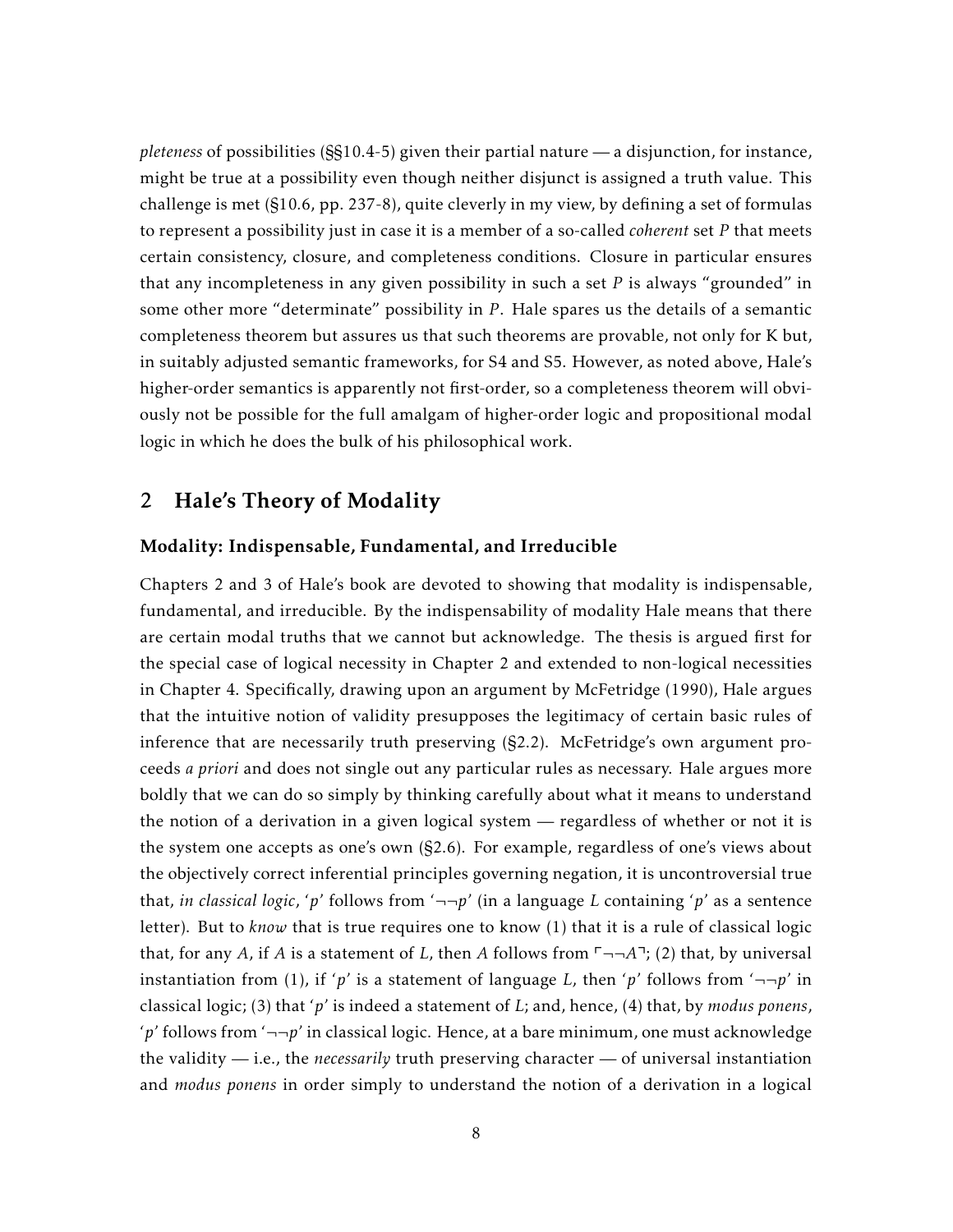*pleteness* of possibilities (§§10.4-5) given their partial nature — a disjunction, for instance, might be true at a possibility even though neither disjunct is assigned a truth value. This challenge is met (§10*.*6, pp. 237-8), quite cleverly in my view, by defining a set of formulas to represent a possibility just in case it is a member of a so-called *coherent* set *P* that meets certain consistency, closure, and completeness conditions. Closure in particular ensures that any incompleteness in any given possibility in such a set *P* is always "grounded" in some other more "determinate" possibility in *P*. Hale spares us the details of a semantic completeness theorem but assures us that such theorems are provable, not only for K but, in suitably adjusted semantic frameworks, for S4 and S5. However, as noted above, Hale's higher-order semantics is apparently not first-order, so a completeness theorem will obviously not be possible for the full amalgam of higher-order logic and propositional modal logic in which he does the bulk of his philosophical work.

# 2 Hale's Theory of Modality

#### Modality: Indispensable, Fundamental, and Irreducible

Chapters 2 and 3 of Hale's book are devoted to showing that modality is indispensable, fundamental, and irreducible. By the indispensability of modality Hale means that there are certain modal truths that we cannot but acknowledge. The thesis is argued first for the special case of logical necessity in Chapter 2 and extended to non-logical necessities in Chapter 4. Specifically, drawing upon an argument by McFetridge (1990), Hale argues that the intuitive notion of validity presupposes the legitimacy of certain basic rules of inference that are necessarily truth preserving (§2.2). McFetridge's own argument proceeds *a priori* and does not single out any particular rules as necessary. Hale argues more boldly that we can do so simply by thinking carefully about what it means to understand the notion of a derivation in a given logical system — regardless of whether or not it is the system one accepts as one's own (§2.6). For example, regardless of one's views about the objectively correct inferential principles governing negation, it is uncontroversial true that, *in classical logic*, '*p*' follows from ' $\neg\neg p$ ' (in a language *L* containing '*p*' as a sentence letter). But to *know* that is true requires one to know (1) that it is a rule of classical logic that, for any *A*, if *A* is a statement of *L*, then *A* follows from  $\ulcorner \neg \neg A \urcorner$ ; (2) that, by universal instantiation from (1), if '*p*' is a statement of language *L*, then '*p*' follows from ' $\neg$ -*p*' in classical logic; (3) that '*p*' is indeed a statement of *L*; and, hence, (4) that, by *modus ponens*, '*p*' follows from '¬¬*p*' in classical logic. Hence, at a bare minimum, one must acknowledge the validity — i.e., the *necessarily* truth preserving character — of universal instantiation and *modus ponens* in order simply to understand the notion of a derivation in a logical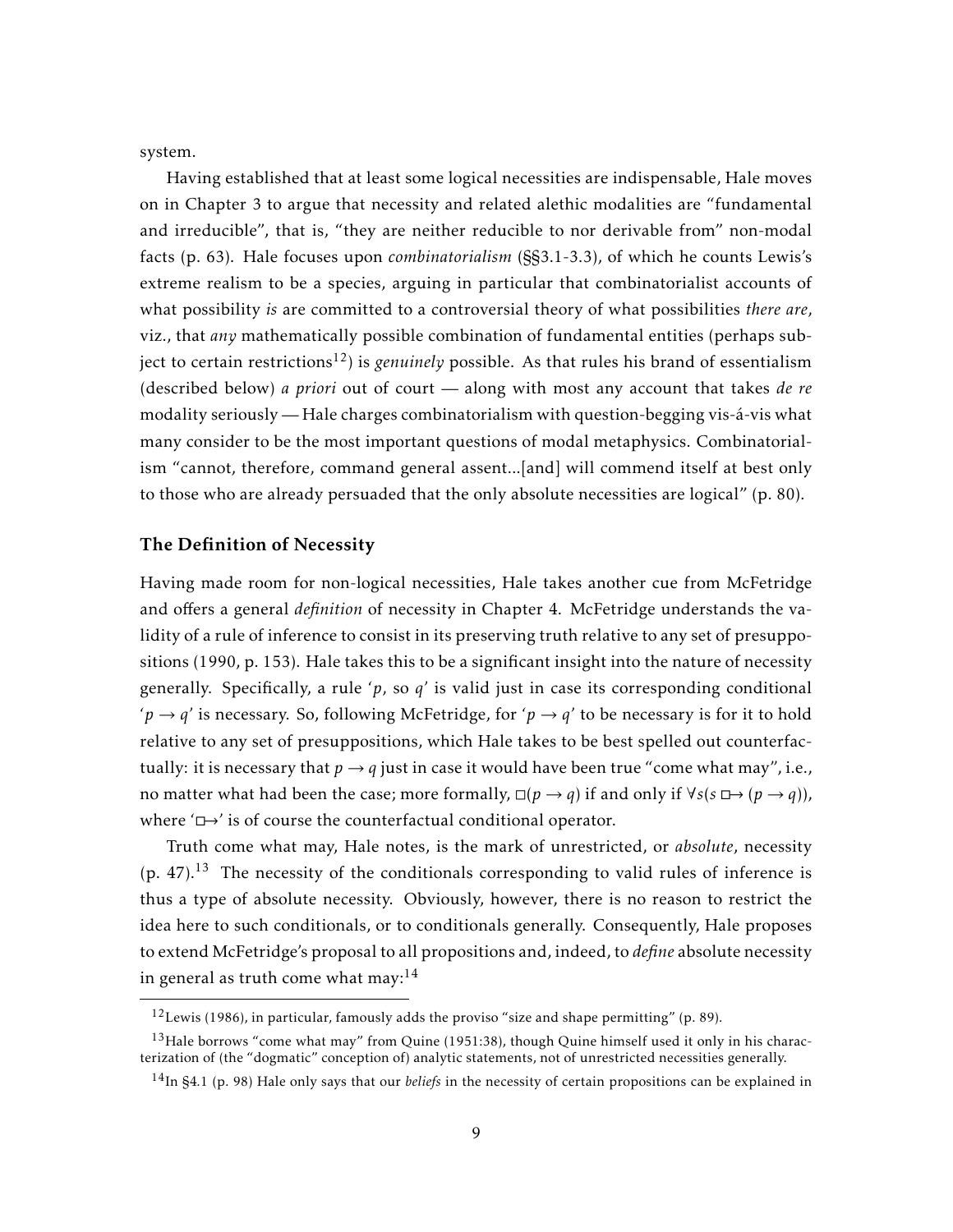system.

Having established that at least some logical necessities are indispensable, Hale moves on in Chapter 3 to argue that necessity and related alethic modalities are "fundamental and irreducible", that is, "they are neither reducible to nor derivable from" non-modal facts (p. 63). Hale focuses upon *combinatorialism* (§§3.1-3.3), of which he counts Lewis's extreme realism to be a species, arguing in particular that combinatorialist accounts of what possibility *is* are committed to a controversial theory of what possibilities *there are*, viz., that *any* mathematically possible combination of fundamental entities (perhaps subject to certain restrictions<sup>12</sup>) is *genuinely* possible. As that rules his brand of essentialism (described below) *a priori* out of court — along with most any account that takes *de re* modality seriously — Hale charges combinatorialism with question-begging vis-á-vis what many consider to be the most important questions of modal metaphysics. Combinatorialism "cannot, therefore, command general assent...[and] will commend itself at best only to those who are already persuaded that the only absolute necessities are logical" (p. 80).

### The Definition of Necessity

Having made room for non-logical necessities, Hale takes another cue from McFetridge and offers a general *definition* of necessity in Chapter 4. McFetridge understands the validity of a rule of inference to consist in its preserving truth relative to any set of presuppositions (1990, p. 153). Hale takes this to be a significant insight into the nature of necessity generally. Specifically, a rule '*p*, so *q*' is valid just in case its corresponding conditional ' $p \rightarrow q$ ' is necessary. So, following McFetridge, for ' $p \rightarrow q$ ' to be necessary is for it to hold relative to any set of presuppositions, which Hale takes to be best spelled out counterfactually: it is necessary that  $p \rightarrow q$  just in case it would have been true "come what may", i.e., no matter what had been the case; more formally,  $\Box(p \rightarrow q)$  if and only if  $\forall s(s \Box \rightarrow (p \rightarrow q))$ , where  $\Box \rightarrow$  is of course the counterfactual conditional operator.

Truth come what may, Hale notes, is the mark of unrestricted, or *absolute*, necessity  $(p. 47).$ <sup>13</sup> The necessity of the conditionals corresponding to valid rules of inference is thus a type of absolute necessity. Obviously, however, there is no reason to restrict the idea here to such conditionals, or to conditionals generally. Consequently, Hale proposes to extend McFetridge's proposal to all propositions and, indeed, to *define* absolute necessity in general as truth come what may: $14$ 

 $12$ Lewis (1986), in particular, famously adds the proviso "size and shape permitting" (p. 89).

 $13$ Hale borrows "come what may" from Quine (1951:38), though Quine himself used it only in his characterization of (the "dogmatic" conception of) analytic statements, not of unrestricted necessities generally.

<sup>14</sup>In §4*.*1 (p. 98) Hale only says that our *beliefs* in the necessity of certain propositions can be explained in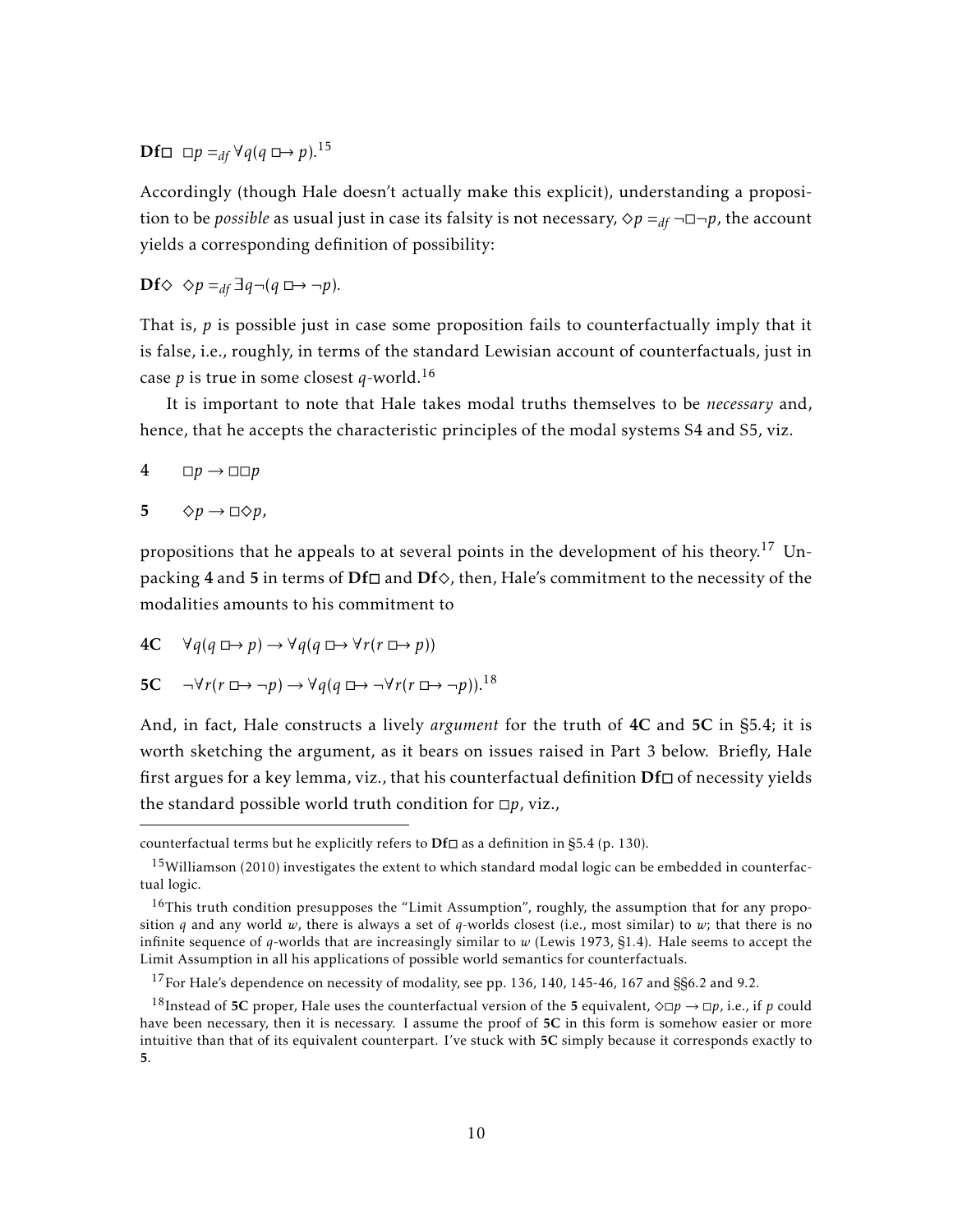$\mathbf{D} \mathbf{f} \Box \Box p =_{df} \forall q (q \Box \rightarrow p).^{15}$ 

Accordingly (though Hale doesn't actually make this explicit), understanding a proposition to be *possible* as usual just in case its falsity is not necessary,  $\Diamond p =_{df} \neg \Box \neg p$ , the account yields a corresponding definition of possibility:

 $\mathbf{D} \mathbf{f} \diamondsuit \diamond p =_{df} \exists q \neg (q \Box \rightarrow \neg p).$ 

That is, *p* is possible just in case some proposition fails to counterfactually imply that it is false, i.e., roughly, in terms of the standard Lewisian account of counterfactuals, just in case *p* is true in some closest *q*-world.<sup>16</sup>

It is important to note that Hale takes modal truths themselves to be *necessary* and, hence, that he accepts the characteristic principles of the modal systems S4 and S5, viz.

4 
$$
\Box p \rightarrow \Box \Box p
$$

5  $\Diamond p \rightarrow \Box \Diamond p$ ,

propositions that he appeals to at several points in the development of his theory.<sup>17</sup> Unpacking 4 and 5 in terms of  $\mathrm{Df}\Box$  and  $\mathrm{Df}\Diamond$ , then, Hale's commitment to the necessity of the modalities amounts to his commitment to

4C 
$$
\forall q(q \Box \rightarrow p) \rightarrow \forall q(q \Box \rightarrow \forall r(r \Box \rightarrow p))
$$

5C 
$$
\neg \forall r (r \Box \rightarrow \neg p) \rightarrow \forall q (q \Box \rightarrow \neg \forall r (r \Box \rightarrow \neg p))
$$
.<sup>18</sup>

And, in fact, Hale constructs a lively *argument* for the truth of 4C and 5C in §5*.*4; it is worth sketching the argument, as it bears on issues raised in Part 3 below. Briefly, Hale first argues for a key lemma, viz., that his counterfactual definition  $Df\Box$  of necessity yields the standard possible world truth condition for  $\Box p$ , viz.,

counterfactual terms but he explicitly refers to  $\mathbf{Df} \square$  as a definition in §5.4 (p. 130).

 $15$ Williamson (2010) investigates the extent to which standard modal logic can be embedded in counterfactual logic.

 $16$ This truth condition presupposes the "Limit Assumption", roughly, the assumption that for any proposition  $q$  and any world  $w$ , there is always a set of  $q$ -worlds closest (i.e., most similar) to  $w$ ; that there is no infinite sequence of *q*-worlds that are increasingly similar to *w* (Lewis 1973, §1*.*4). Hale seems to accept the Limit Assumption in all his applications of possible world semantics for counterfactuals.

 $17$  For Hale's dependence on necessity of modality, see pp. 136, 140, 145-46, 167 and §§6.2 and 9.2.

<sup>&</sup>lt;sup>18</sup>Instead of 5C proper, Hale uses the counterfactual version of the 5 equivalent,  $\Diamond$   $p \rightarrow$   $p$ , i.e., if *p* could have been necessary, then it is necessary. I assume the proof of 5C in this form is somehow easier or more intuitive than that of its equivalent counterpart. I've stuck with 5C simply because it corresponds exactly to 5.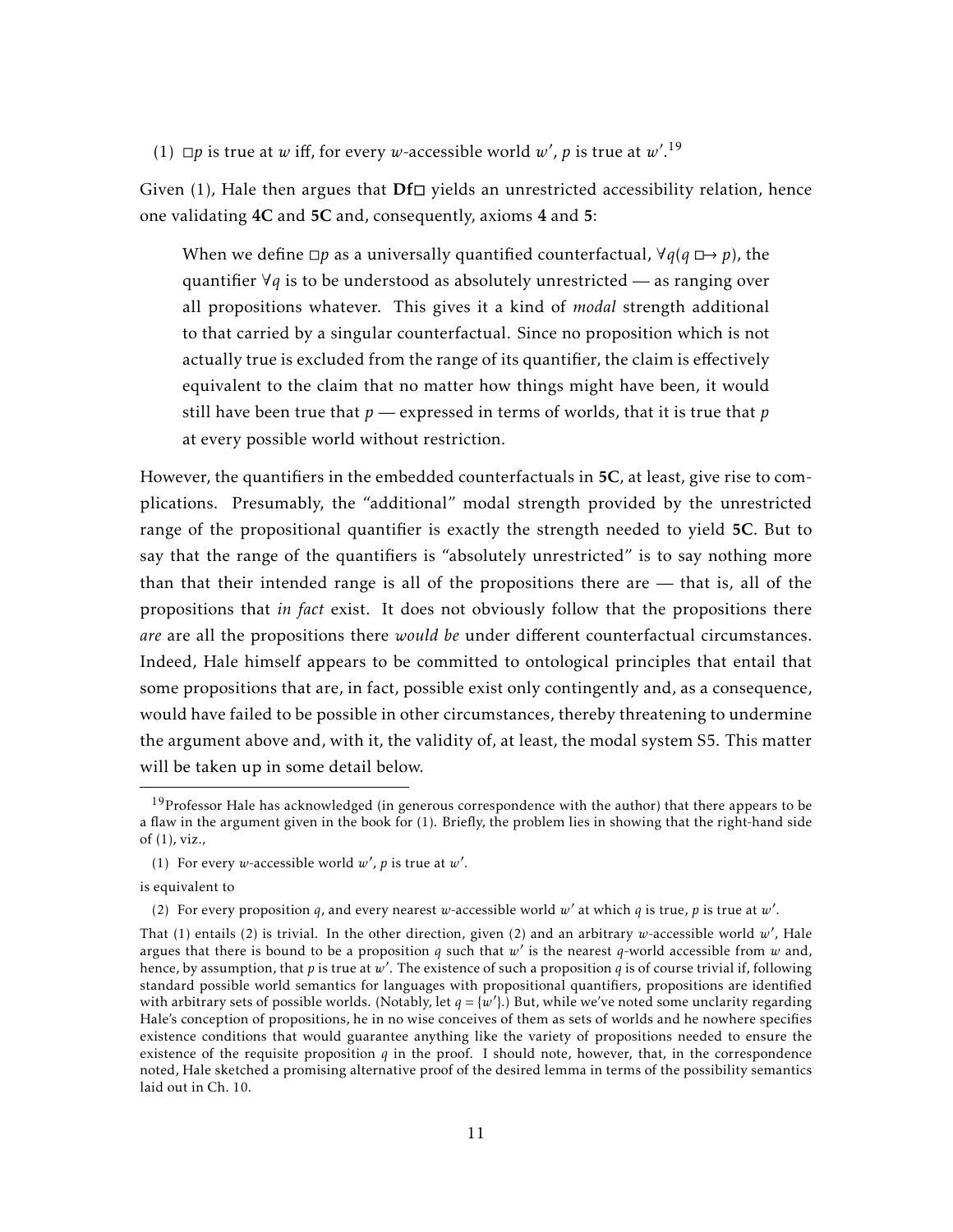(1)  $\Box p$  is true at *w* iff, for every *w*-accessible world *w'*, *p* is true at *w'*.<sup>19</sup>

Given (1), Hale then argues that  $\mathbf{Df}$  yields an unrestricted accessibility relation, hence one validating 4C and 5C and, consequently, axioms 4 and 5:

When we define  $\Box p$  as a universally quantified counterfactual,  $\forall q(q \Box \rightarrow p)$ , the quantifier ∀*q* is to be understood as absolutely unrestricted — as ranging over all propositions whatever. This gives it a kind of *modal* strength additional to that carried by a singular counterfactual. Since no proposition which is not actually true is excluded from the range of its quantifier, the claim is effectively equivalent to the claim that no matter how things might have been, it would still have been true that  $p$  — expressed in terms of worlds, that it is true that  $p$ at every possible world without restriction.

However, the quantifiers in the embedded counterfactuals in 5C, at least, give rise to complications. Presumably, the "additional" modal strength provided by the unrestricted range of the propositional quantifier is exactly the strength needed to yield 5C. But to say that the range of the quantifiers is "absolutely unrestricted" is to say nothing more than that their intended range is all of the propositions there are — that is, all of the propositions that *in fact* exist. It does not obviously follow that the propositions there *are* are all the propositions there *would be* under different counterfactual circumstances. Indeed, Hale himself appears to be committed to ontological principles that entail that some propositions that are, in fact, possible exist only contingently and, as a consequence, would have failed to be possible in other circumstances, thereby threatening to undermine the argument above and, with it, the validity of, at least, the modal system S5. This matter will be taken up in some detail below.

(2) For every proposition *q*, and every nearest *w*-accessible world *w'* at which *q* is true, *p* is true at *w'*.

 $19$ Professor Hale has acknowledged (in generous correspondence with the author) that there appears to be a flaw in the argument given in the book for (1). Briefly, the problem lies in showing that the right-hand side of (1), viz.,

<sup>(1)</sup> For every *w*-accessible world *w'*, *p* is true at *w'*.

is equivalent to

That (1) entails (2) is trivial. In the other direction, given (2) and an arbitrary *w*-accessible world  $w'$ , Hale argues that there is bound to be a proposition *q* such that  $w'$  is the nearest *q*-world accessible from *w* and, hence, by assumption, that *p* is true at *w'*. The existence of such a proposition *q* is of course trivial if, following standard possible world semantics for languages with propositional quantifiers, propositions are identified with arbitrary sets of possible worlds. (Notably, let  $q = \{w'\}$ .) But, while we've noted some unclarity regarding Hale's conception of propositions, he in no wise conceives of them as sets of worlds and he nowhere specifies existence conditions that would guarantee anything like the variety of propositions needed to ensure the existence of the requisite proposition  $q$  in the proof. I should note, however, that, in the correspondence noted, Hale sketched a promising alternative proof of the desired lemma in terms of the possibility semantics laid out in Ch. 10.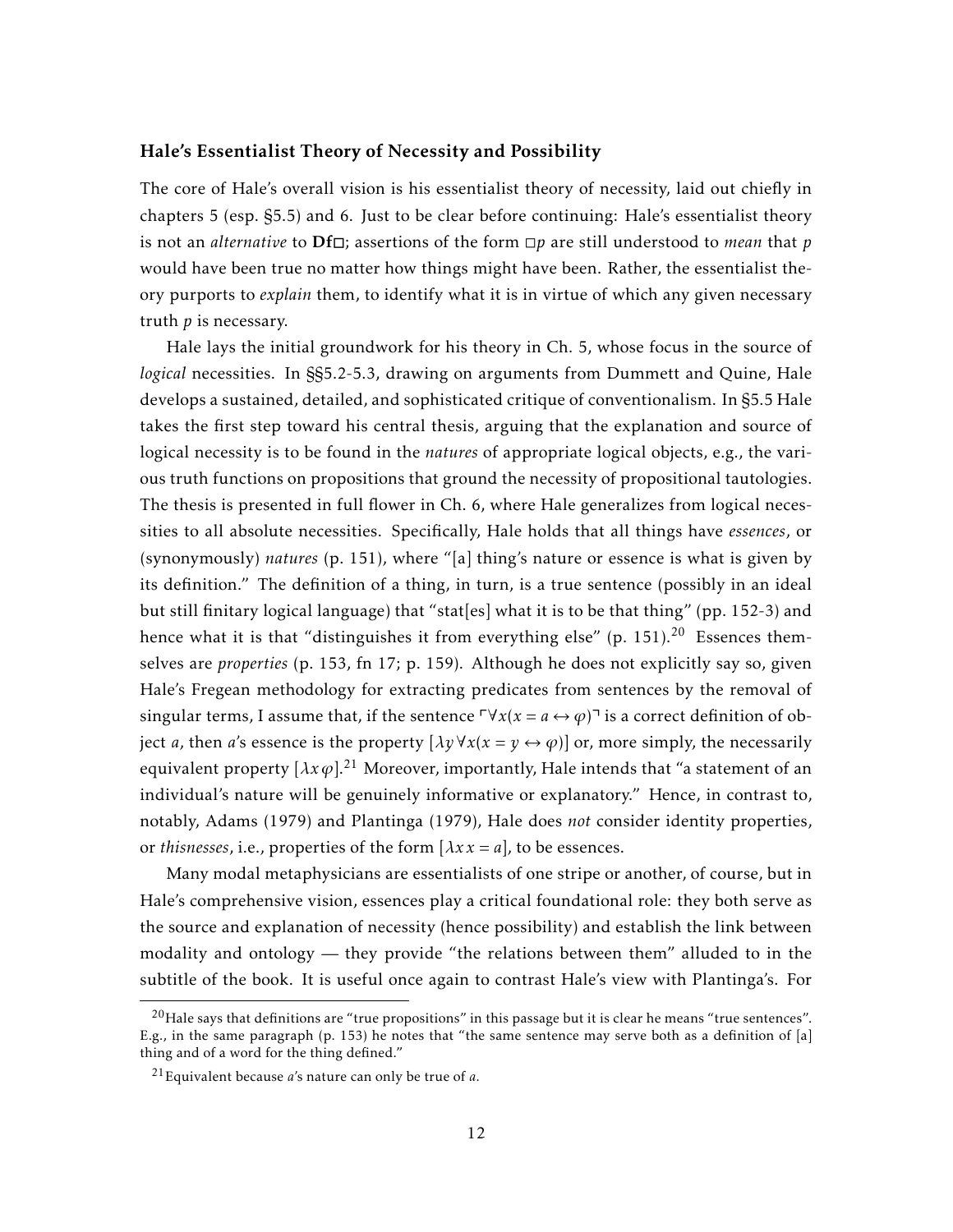#### Hale's Essentialist Theory of Necessity and Possibility

The core of Hale's overall vision is his essentialist theory of necessity, laid out chiefly in chapters 5 (esp. §5.5) and 6. Just to be clear before continuing: Hale's essentialist theory is not an *alternative* to  $\text{Df} \Box$ ; assertions of the form  $\Box p$  are still understood to *mean* that p would have been true no matter how things might have been. Rather, the essentialist theory purports to *explain* them, to identify what it is in virtue of which any given necessary truth *p* is necessary.

Hale lays the initial groundwork for his theory in Ch. 5, whose focus in the source of *logical* necessities. In §§5.2-5.3, drawing on arguments from Dummett and Quine, Hale develops a sustained, detailed, and sophisticated critique of conventionalism. In §5.5 Hale takes the first step toward his central thesis, arguing that the explanation and source of logical necessity is to be found in the *natures* of appropriate logical objects, e.g., the various truth functions on propositions that ground the necessity of propositional tautologies. The thesis is presented in full flower in Ch. 6, where Hale generalizes from logical necessities to all absolute necessities. Specifically, Hale holds that all things have *essences*, or (synonymously) *natures* (p. 151), where "[a] thing's nature or essence is what is given by its definition." The definition of a thing, in turn, is a true sentence (possibly in an ideal but still finitary logical language) that "stat[es] what it is to be that thing" (pp. 152-3) and hence what it is that "distinguishes it from everything else" (p. 151).<sup>20</sup> Essences themselves are *properties* (p. 153, fn 17; p. 159). Although he does not explicitly say so, given Hale's Fregean methodology for extracting predicates from sentences by the removal of singular terms, I assume that, if the sentence  $\forall x(x = a \leftrightarrow \varphi)$ <sup> $\exists$ </sup> is a correct definition of object *a*, then *a*'s essence is the property  $[\lambda y \forall x (x = y \leftrightarrow \varphi)]$  or, more simply, the necessarily equivalent property  $[\lambda x \varphi]$ .<sup>21</sup> Moreover, importantly, Hale intends that "a statement of an individual's nature will be genuinely informative or explanatory." Hence, in contrast to, notably, Adams (1979) and Plantinga (1979), Hale does *not* consider identity properties, or *thisnesses*, i.e., properties of the form  $[\lambda x x = a]$ , to be essences.

Many modal metaphysicians are essentialists of one stripe or another, of course, but in Hale's comprehensive vision, essences play a critical foundational role: they both serve as the source and explanation of necessity (hence possibility) and establish the link between modality and ontology — they provide "the relations between them" alluded to in the subtitle of the book. It is useful once again to contrast Hale's view with Plantinga's. For

 $^{20}$ Hale says that definitions are "true propositions" in this passage but it is clear he means "true sentences". E.g., in the same paragraph (p. 153) he notes that "the same sentence may serve both as a definition of [a] thing and of a word for the thing defined."

<sup>21</sup>Equivalent because *a*'s nature can only be true of *a*.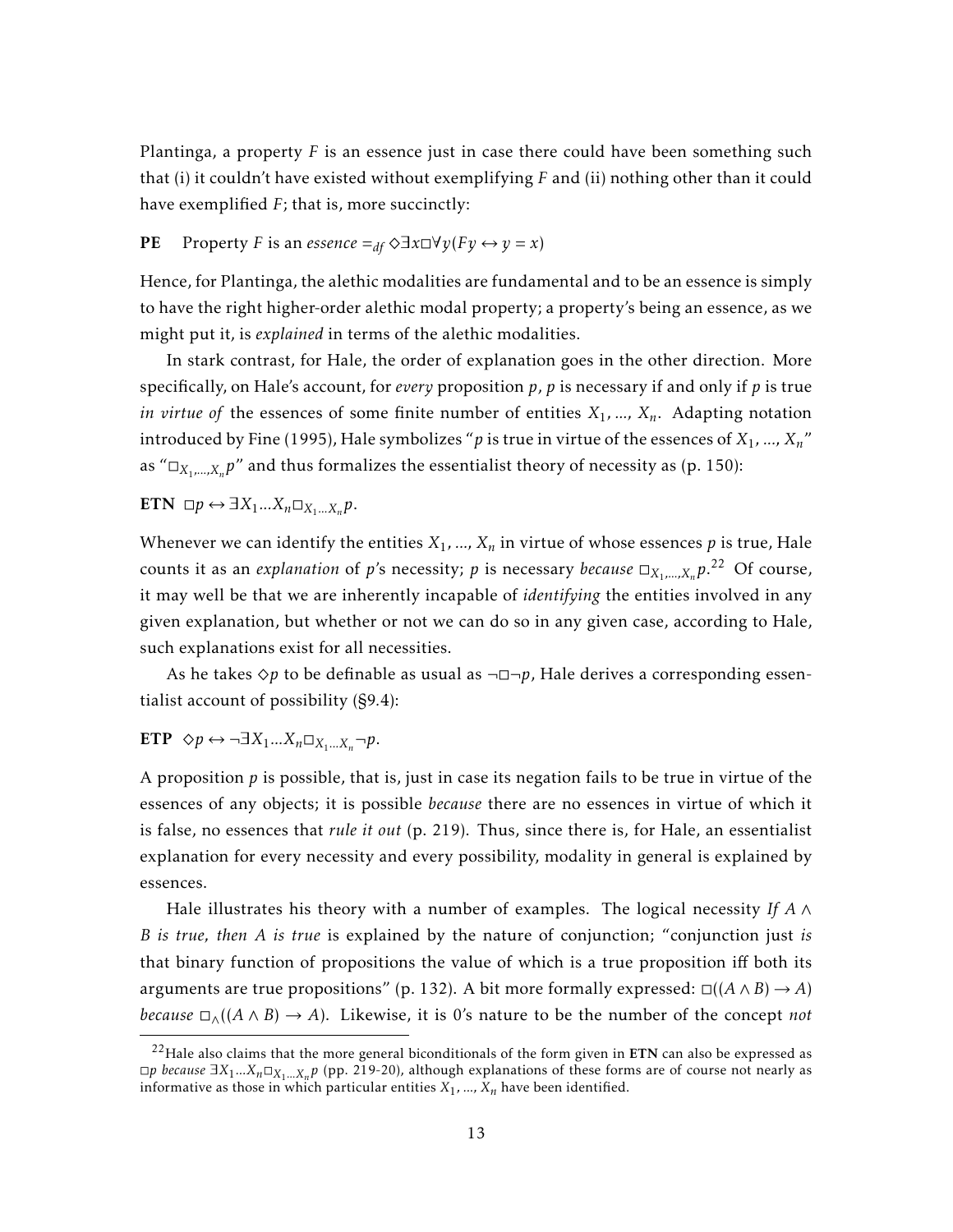Plantinga, a property *F* is an essence just in case there could have been something such that (i) it couldn't have existed without exemplifying *F* and (ii) nothing other than it could have exemplified *F*; that is, more succinctly:

**PE** Property *F* is an *essence* 
$$
=_{df} \Diamond \exists x \Box \forall y (Fy \leftrightarrow y = x)
$$

Hence, for Plantinga, the alethic modalities are fundamental and to be an essence is simply to have the right higher-order alethic modal property; a property's being an essence, as we might put it, is *explained* in terms of the alethic modalities.

In stark contrast, for Hale, the order of explanation goes in the other direction. More specifically, on Hale's account, for *every* proposition *p*, *p* is necessary if and only if *p* is true *in virtue of* the essences of some finite number of entities  $X_1$ , ...,  $X_n$ . Adapting notation introduced by Fine (1995), Hale symbolizes "p is true in virtue of the essences of  $X_1$ , ...,  $X_n$ " as " $\Box_{X_1,\ldots,X_n} p$ " and thus formalizes the essentialist theory of necessity as (p. 150):

ETN  $\Box p \leftrightarrow \exists X_1 ... X_n \Box_{X_1 ... X_n} p$ .

Whenever we can identify the entities  $X_1$ , ...,  $X_n$  in virtue of whose essences p is true, Hale counts it as an *explanation* of *p*'s necessity; *p* is necessary *because*  $\Box_{X_1,...,X_n} p$ .<sup>22</sup> Of course, it may well be that we are inherently incapable of *identifying* the entities involved in any given explanation, but whether or not we can do so in any given case, according to Hale, such explanations exist for all necessities.

As he takes  $\diamond p$  to be definable as usual as  $\neg \Box \neg p$ , Hale derives a corresponding essentialist account of possibility (§9*.*4):

ETP  $\diamond p \leftrightarrow \neg \exists X_1 ... X_n \Box_{X_1 ... X_n} \neg p$ .

A proposition *p* is possible, that is, just in case its negation fails to be true in virtue of the essences of any objects; it is possible *because* there are no essences in virtue of which it is false, no essences that *rule it out* (p. 219). Thus, since there is, for Hale, an essentialist explanation for every necessity and every possibility, modality in general is explained by essences.

Hale illustrates his theory with a number of examples. The logical necessity *If A* ∧ *B is true, then A is true* is explained by the nature of conjunction; "conjunction just *is* that binary function of propositions the value of which is a true proposition iff both its arguments are true propositions" (p. 132). A bit more formally expressed:  $\Box((A \land B) \rightarrow A)$ *because*  $\square_{\Lambda}((A \wedge B) \rightarrow A)$ . Likewise, it is 0's nature to be the number of the concept *not* 

 $22$ Hale also claims that the more general biconditionals of the form given in ETN can also be expressed as *<sup>p</sup> because* <sup>∃</sup>*X*1*...XnX*1*...X<sup>n</sup> p* (pp. 219-20), although explanations of these forms are of course not nearly as informative as those in which particular entities  $X_1$ , ...,  $X_n$  have been identified.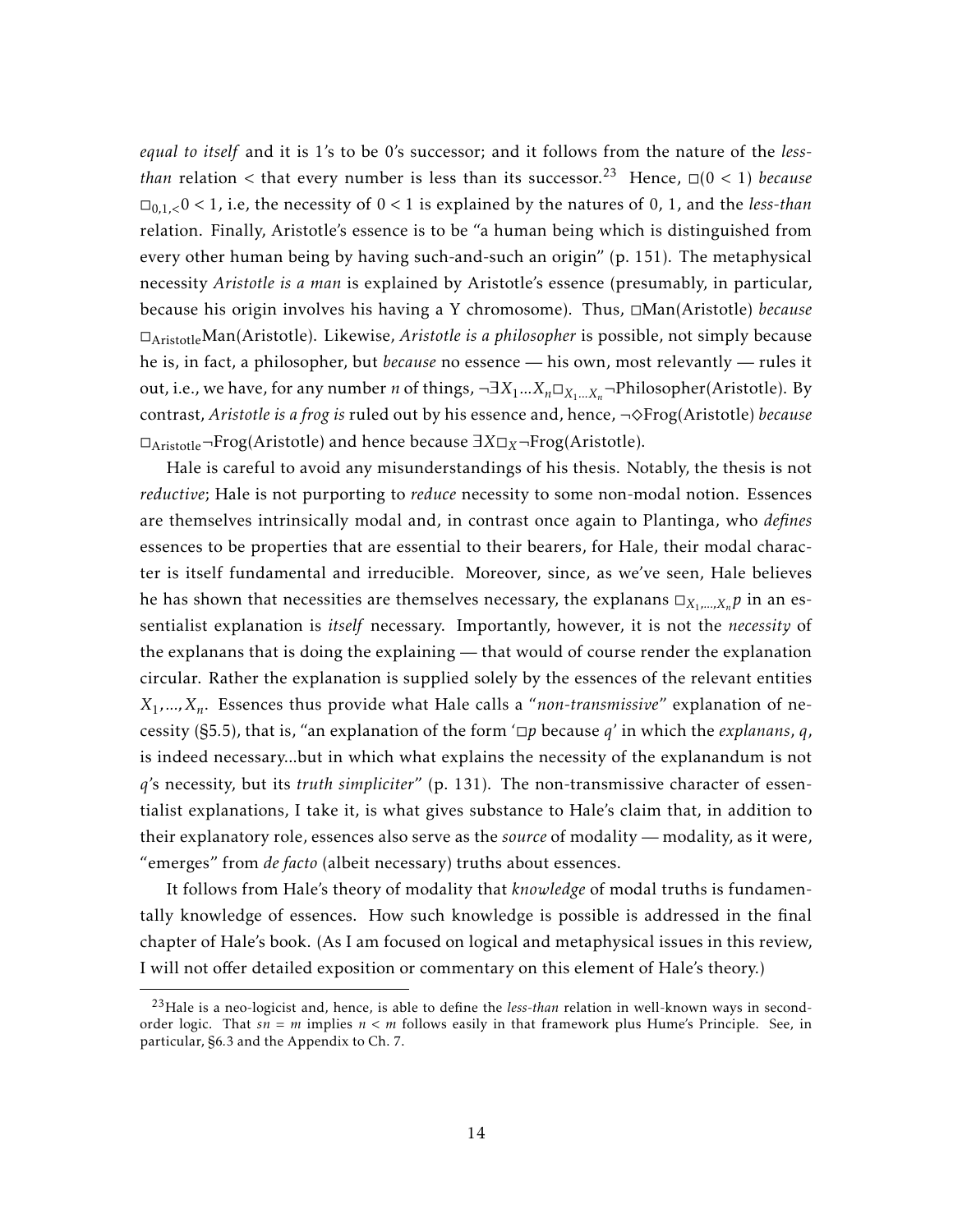*equal to itself* and it is 1's to be 0's successor; and it follows from the nature of the *lessthan* relation < that every number is less than its successor.<sup>23</sup> Hence,  $\Box(0 < 1)$  *because*  $\square_{0,1}$ ,  $\lt$  0 < 1, i.e, the necessity of 0 < 1 is explained by the natures of 0, 1, and the *less-than* relation. Finally, Aristotle's essence is to be "a human being which is distinguished from every other human being by having such-and-such an origin" (p. 151). The metaphysical necessity *Aristotle is a man* is explained by Aristotle's essence (presumably, in particular, because his origin involves his having a Y chromosome). Thus, □Man(Aristotle) *because* AristotleMan(Aristotle). Likewise, *Aristotle is a philosopher* is possible, not simply because he is, in fact, a philosopher, but *because* no essence — his own, most relevantly — rules it out, i.e., we have, for any number *<sup>n</sup>* of things, ¬∃*X*1*...XnX*<sup>1</sup> *...X<sup>n</sup>* ¬Philosopher(Aristotle). By contrast, *Aristotle is a frog is* ruled out by his essence and, hence, ¬^Frog(Aristotle) *because* Aristotle¬Frog(Aristotle) and hence because ∃*XX*¬Frog(Aristotle).

Hale is careful to avoid any misunderstandings of his thesis. Notably, the thesis is not *reductive*; Hale is not purporting to *reduce* necessity to some non-modal notion. Essences are themselves intrinsically modal and, in contrast once again to Plantinga, who *defines* essences to be properties that are essential to their bearers, for Hale, their modal character is itself fundamental and irreducible. Moreover, since, as we've seen, Hale believes he has shown that necessities are themselves necessary, the explanans  $\Box_{X_1,...,X_n} p$  in an essentialist explanation is *itself* necessary. Importantly, however, it is not the *necessity* of the explanans that is doing the explaining — that would of course render the explanation circular. Rather the explanation is supplied solely by the essences of the relevant entities *X*1*,...,Xn*. Essences thus provide what Hale calls a "*non-transmissive*" explanation of necessity (§5.5), that is, "an explanation of the form ' $\neg p$  because *q*' in which the *explanans*, *q*, is indeed necessary...but in which what explains the necessity of the explanandum is not *q*'s necessity, but its *truth simpliciter*" (p. 131). The non-transmissive character of essentialist explanations, I take it, is what gives substance to Hale's claim that, in addition to their explanatory role, essences also serve as the *source* of modality — modality, as it were, "emerges" from *de facto* (albeit necessary) truths about essences.

It follows from Hale's theory of modality that *knowledge* of modal truths is fundamentally knowledge of essences. How such knowledge is possible is addressed in the final chapter of Hale's book. (As I am focused on logical and metaphysical issues in this review, I will not offer detailed exposition or commentary on this element of Hale's theory.)

<sup>23</sup>Hale is a neo-logicist and, hence, is able to define the *less-than* relation in well-known ways in secondorder logic. That *sn* = *m* implies *n < m* follows easily in that framework plus Hume's Principle. See, in particular, §6*.*3 and the Appendix to Ch. 7.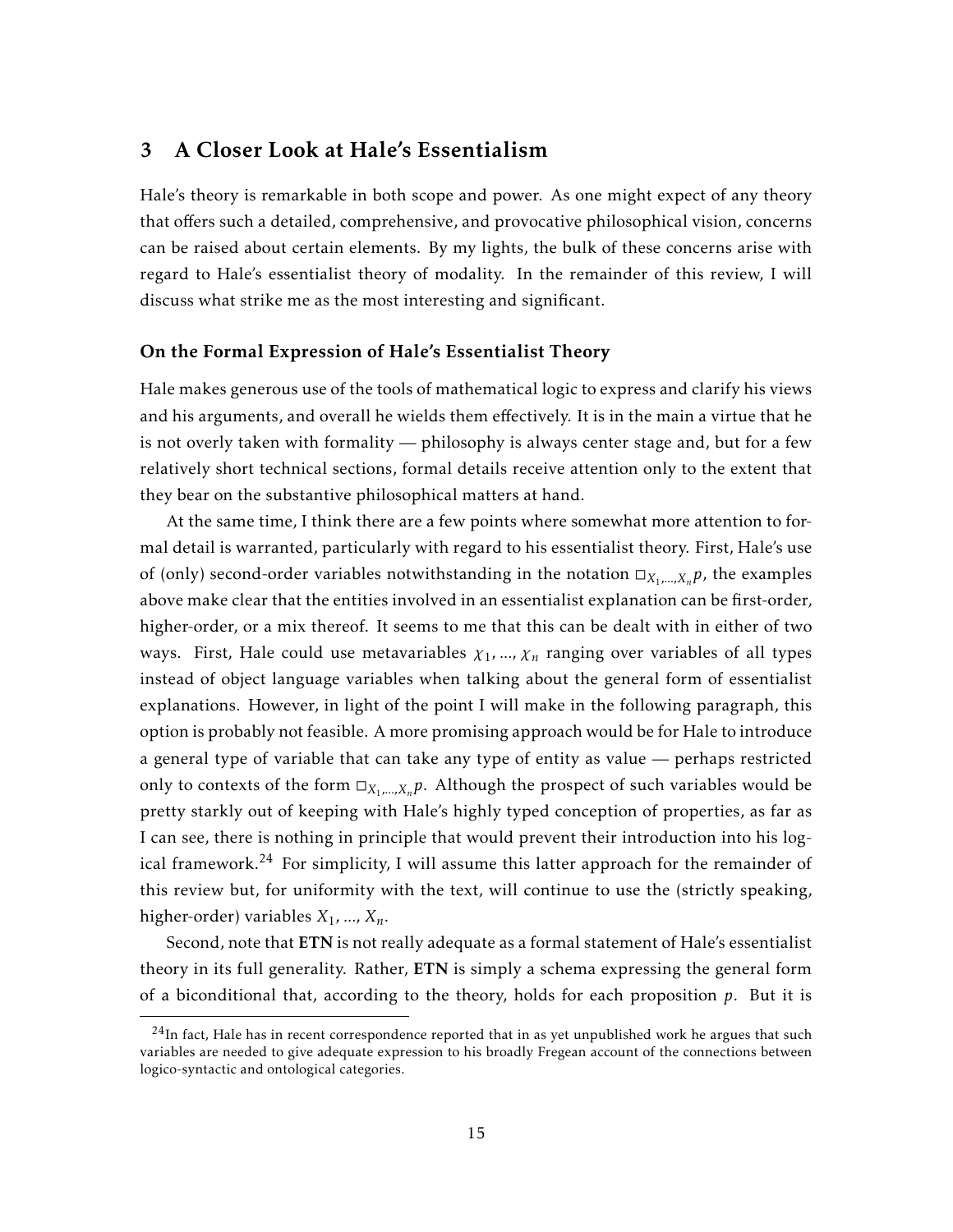### 3 A Closer Look at Hale's Essentialism

Hale's theory is remarkable in both scope and power. As one might expect of any theory that offers such a detailed, comprehensive, and provocative philosophical vision, concerns can be raised about certain elements. By my lights, the bulk of these concerns arise with regard to Hale's essentialist theory of modality. In the remainder of this review, I will discuss what strike me as the most interesting and significant.

### On the Formal Expression of Hale's Essentialist Theory

Hale makes generous use of the tools of mathematical logic to express and clarify his views and his arguments, and overall he wields them effectively. It is in the main a virtue that he is not overly taken with formality — philosophy is always center stage and, but for a few relatively short technical sections, formal details receive attention only to the extent that they bear on the substantive philosophical matters at hand.

At the same time, I think there are a few points where somewhat more attention to formal detail is warranted, particularly with regard to his essentialist theory. First, Hale's use of (only) second-order variables notwithstanding in the notation  $\Box_{X_1,\dots,X_n} p$ , the examples above make clear that the entities involved in an essentialist explanation can be first-order, higher-order, or a mix thereof. It seems to me that this can be dealt with in either of two ways. First, Hale could use metavariables  $\chi_1$ , ...,  $\chi_n$  ranging over variables of all types instead of object language variables when talking about the general form of essentialist explanations. However, in light of the point I will make in the following paragraph, this option is probably not feasible. A more promising approach would be for Hale to introduce a general type of variable that can take any type of entity as value — perhaps restricted only to contexts of the form  $\Box_{X_1,\dots,X_n} p$ . Although the prospect of such variables would be pretty starkly out of keeping with Hale's highly typed conception of properties, as far as I can see, there is nothing in principle that would prevent their introduction into his logical framework.<sup>24</sup> For simplicity, I will assume this latter approach for the remainder of this review but, for uniformity with the text, will continue to use the (strictly speaking, higher-order) variables  $X_1$ *, ...,*  $X_n$ *.* 

Second, note that ETN is not really adequate as a formal statement of Hale's essentialist theory in its full generality. Rather, ETN is simply a schema expressing the general form of a biconditional that, according to the theory, holds for each proposition *p*. But it is

 $^{24}$ In fact, Hale has in recent correspondence reported that in as yet unpublished work he argues that such variables are needed to give adequate expression to his broadly Fregean account of the connections between logico-syntactic and ontological categories.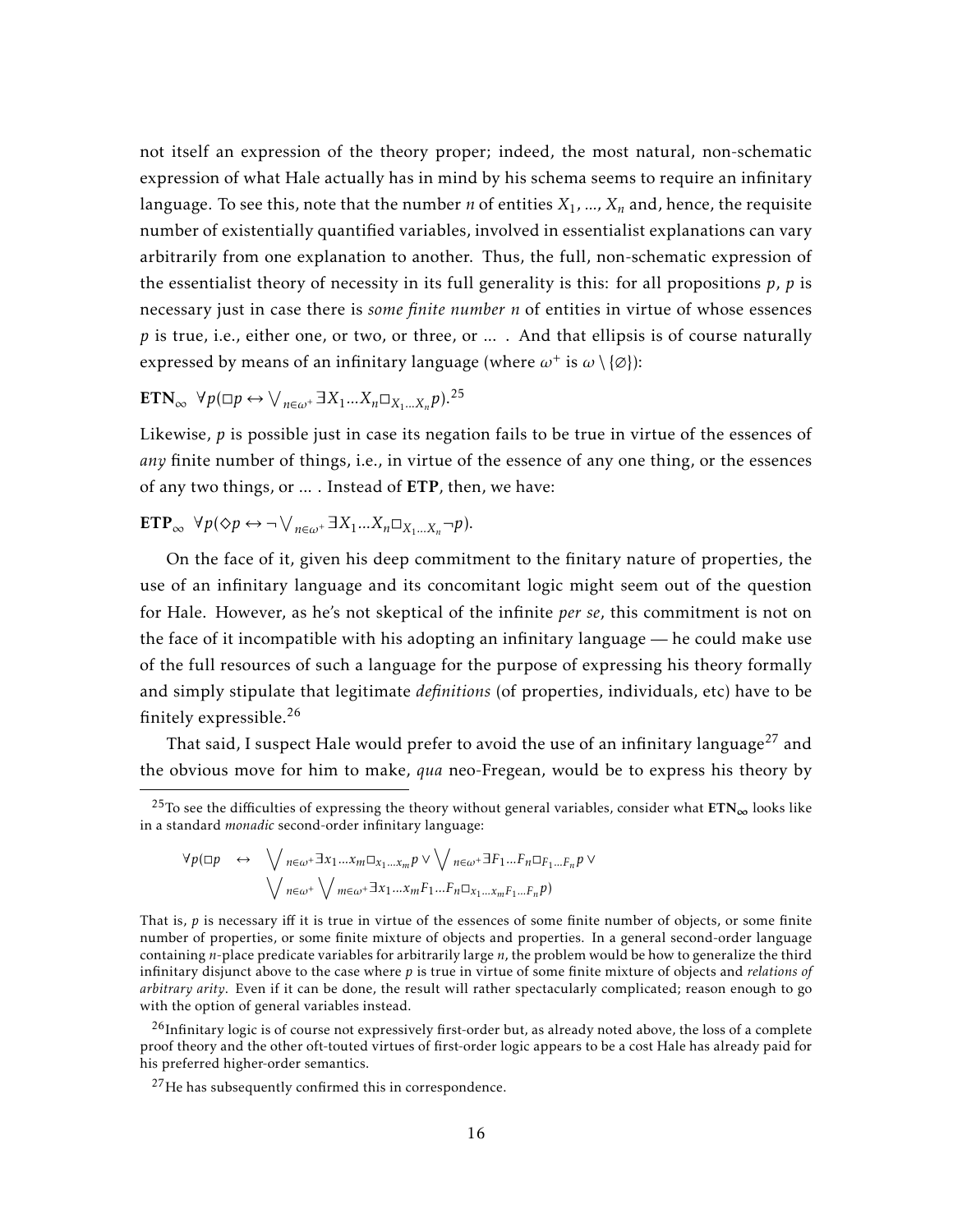not itself an expression of the theory proper; indeed, the most natural, non-schematic expression of what Hale actually has in mind by his schema seems to require an infinitary language. To see this, note that the number *n* of entities  $X_1$ , ...,  $X_n$  and, hence, the requisite number of existentially quantified variables, involved in essentialist explanations can vary arbitrarily from one explanation to another. Thus, the full, non-schematic expression of the essentialist theory of necessity in its full generality is this: for all propositions *p*, *p* is necessary just in case there is *some finite number n* of entities in virtue of whose essences *p* is true, i.e., either one, or two, or three, or ... . And that ellipsis is of course naturally expressed by means of an infinitary language (where  $\omega^+$  is  $\omega \setminus \{\varnothing\}$ ):

$$
\mathbf{ETN}_{\infty} \ \forall p(\Box p \leftrightarrow \bigvee_{n \in \omega^+} \exists X_1 ... X_n \Box_{X_1 ... X_n} p).^{25}
$$

Likewise, *p* is possible just in case its negation fails to be true in virtue of the essences of *any* finite number of things, i.e., in virtue of the essence of any one thing, or the essences of any two things, or ... . Instead of ETP, then, we have:

$$
\mathbf{ETP}_{\infty} \ \forall p(\diamond p \leftrightarrow \neg \ \bigvee_{n \in \omega^+} \exists X_1 ... X_n \Box_{X_1 ... X_n} \neg p).
$$

On the face of it, given his deep commitment to the finitary nature of properties, the use of an infinitary language and its concomitant logic might seem out of the question for Hale. However, as he's not skeptical of the infinite *per se*, this commitment is not on the face of it incompatible with his adopting an infinitary language — he could make use of the full resources of such a language for the purpose of expressing his theory formally and simply stipulate that legitimate *definitions* (of properties, individuals, etc) have to be finitely expressible.<sup>26</sup>

That said, I suspect Hale would prefer to avoid the use of an infinitary language<sup>27</sup> and the obvious move for him to make, *qua* neo-Fregean, would be to express his theory by

$$
\forall p(\Box p \leftrightarrow \bigvee_{n \in \omega^+} \exists x_1 ... x_m \Box_{x_1 ... x_m} p \lor \bigvee_{n \in \omega^+} \exists F_1 ... F_n \Box_{F_1 ... F_n} p \lor \bigvee_{n \in \omega^+} \exists x_1 ... x_m F_1 ... F_n \Box_{x_1 ... x_m F_1 ... F_n} p)
$$

That is, *p* is necessary iff it is true in virtue of the essences of some finite number of objects, or some finite number of properties, or some finite mixture of objects and properties. In a general second-order language containing *n*-place predicate variables for arbitrarily large *n*, the problem would be how to generalize the third infinitary disjunct above to the case where *p* is true in virtue of some finite mixture of objects and *relations of arbitrary arity*. Even if it can be done, the result will rather spectacularly complicated; reason enough to go with the option of general variables instead.

 $^{26}$ Infinitary logic is of course not expressively first-order but, as already noted above, the loss of a complete proof theory and the other oft-touted virtues of first-order logic appears to be a cost Hale has already paid for his preferred higher-order semantics.

<sup>&</sup>lt;sup>25</sup>To see the difficulties of expressing the theory without general variables, consider what  $ETN_{\infty}$  looks like in a standard *monadic* second-order infinitary language:

 $27$  He has subsequently confirmed this in correspondence.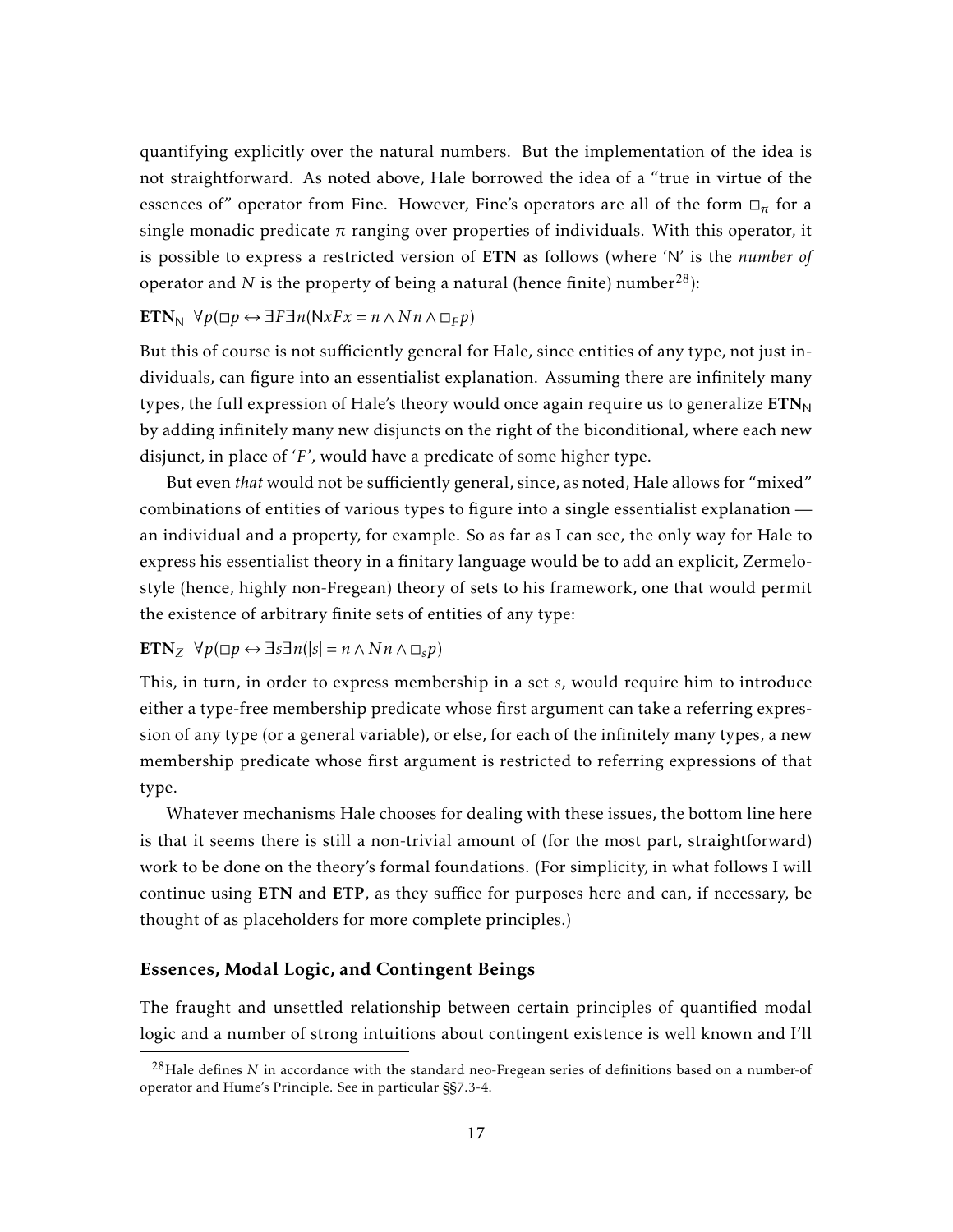quantifying explicitly over the natural numbers. But the implementation of the idea is not straightforward. As noted above, Hale borrowed the idea of a "true in virtue of the essences of" operator from Fine. However, Fine's operators are all of the form  $\Box_{\pi}$  for a single monadic predicate  $\pi$  ranging over properties of individuals. With this operator, it is possible to express a restricted version of ETN as follows (where 'N' is the *number of* operator and *N* is the property of being a natural (hence finite) number<sup>28</sup>):

### $\mathbf{ETN_N}$   $\forall p(\Box p \leftrightarrow \exists F \exists n(\forall xFx = n \land N n \land \Box_F p))$

But this of course is not sufficiently general for Hale, since entities of any type, not just individuals, can figure into an essentialist explanation. Assuming there are infinitely many types, the full expression of Hale's theory would once again require us to generalize  $ETN<sub>N</sub>$ by adding infinitely many new disjuncts on the right of the biconditional, where each new disjunct, in place of '*F*', would have a predicate of some higher type.

But even *that* would not be sufficiently general, since, as noted, Hale allows for "mixed" combinations of entities of various types to figure into a single essentialist explanation an individual and a property, for example. So as far as I can see, the only way for Hale to express his essentialist theory in a finitary language would be to add an explicit, Zermelostyle (hence, highly non-Fregean) theory of sets to his framework, one that would permit the existence of arbitrary finite sets of entities of any type:

### $\mathbf{ETN}_Z \quad \forall p(\Box p \leftrightarrow \exists s \exists n(|s| = n \land N n \land \Box_s p)$

This, in turn, in order to express membership in a set *s*, would require him to introduce either a type-free membership predicate whose first argument can take a referring expression of any type (or a general variable), or else, for each of the infinitely many types, a new membership predicate whose first argument is restricted to referring expressions of that type.

Whatever mechanisms Hale chooses for dealing with these issues, the bottom line here is that it seems there is still a non-trivial amount of (for the most part, straightforward) work to be done on the theory's formal foundations. (For simplicity, in what follows I will continue using ETN and ETP, as they suffice for purposes here and can, if necessary, be thought of as placeholders for more complete principles.)

#### Essences, Modal Logic, and Contingent Beings

The fraught and unsettled relationship between certain principles of quantified modal logic and a number of strong intuitions about contingent existence is well known and I'll

<sup>28</sup>Hale defines *N* in accordance with the standard neo-Fregean series of definitions based on a number-of operator and Hume's Principle. See in particular §§7.3-4.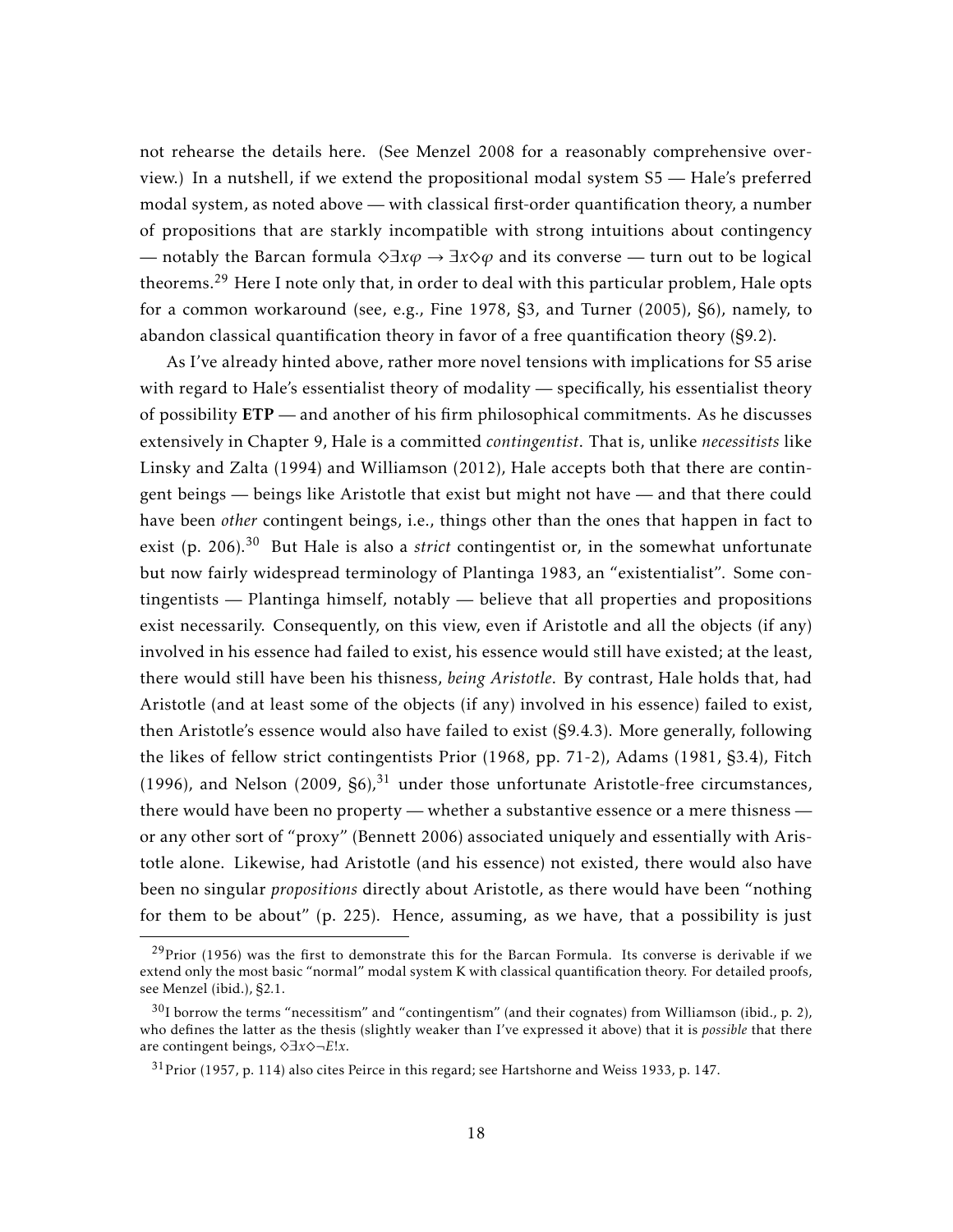not rehearse the details here. (See Menzel 2008 for a reasonably comprehensive overview.) In a nutshell, if we extend the propositional modal system S5 — Hale's preferred modal system, as noted above — with classical first-order quantification theory, a number of propositions that are starkly incompatible with strong intuitions about contingency — notably the Barcan formula  $\Diamond \exists x \phi \rightarrow \exists x \Diamond \phi$  and its converse — turn out to be logical theorems.<sup>29</sup> Here I note only that, in order to deal with this particular problem, Hale opts for a common workaround (see, e.g., Fine 1978, §3, and Turner (2005), §6), namely, to abandon classical quantification theory in favor of a free quantification theory (§9*.*2).

As I've already hinted above, rather more novel tensions with implications for S5 arise with regard to Hale's essentialist theory of modality — specifically, his essentialist theory of possibility ETP — and another of his firm philosophical commitments. As he discusses extensively in Chapter 9, Hale is a committed *contingentist*. That is, unlike *necessitists* like Linsky and Zalta (1994) and Williamson (2012), Hale accepts both that there are contingent beings — beings like Aristotle that exist but might not have — and that there could have been *other* contingent beings, i.e., things other than the ones that happen in fact to exist (p. 206).<sup>30</sup> But Hale is also a *strict* contingentist or, in the somewhat unfortunate but now fairly widespread terminology of Plantinga 1983, an "existentialist". Some contingentists — Plantinga himself, notably — believe that all properties and propositions exist necessarily. Consequently, on this view, even if Aristotle and all the objects (if any) involved in his essence had failed to exist, his essence would still have existed; at the least, there would still have been his thisness, *being Aristotle*. By contrast, Hale holds that, had Aristotle (and at least some of the objects (if any) involved in his essence) failed to exist, then Aristotle's essence would also have failed to exist (§9*.*4*.*3). More generally, following the likes of fellow strict contingentists Prior (1968, pp. 71-2), Adams (1981, §3*.*4), Fitch (1996), and Nelson (2009,  $\S6$ ),<sup>31</sup> under those unfortunate Aristotle-free circumstances, there would have been no property — whether a substantive essence or a mere thisness or any other sort of "proxy" (Bennett 2006) associated uniquely and essentially with Aristotle alone. Likewise, had Aristotle (and his essence) not existed, there would also have been no singular *propositions* directly about Aristotle, as there would have been "nothing for them to be about" (p. 225). Hence, assuming, as we have, that a possibility is just

 $^{29}$ Prior (1956) was the first to demonstrate this for the Barcan Formula. Its converse is derivable if we extend only the most basic "normal" modal system K with classical quantification theory. For detailed proofs, see Menzel (ibid.), §2*.*1.

 $30$ I borrow the terms "necessitism" and "contingentism" (and their cognates) from Williamson (ibid., p. 2), who defines the latter as the thesis (slightly weaker than I've expressed it above) that it is *possible* that there are contingent beings, ^∃*x*^¬*E*!*x*.

 $31$ Prior (1957, p. 114) also cites Peirce in this regard; see Hartshorne and Weiss 1933, p. 147.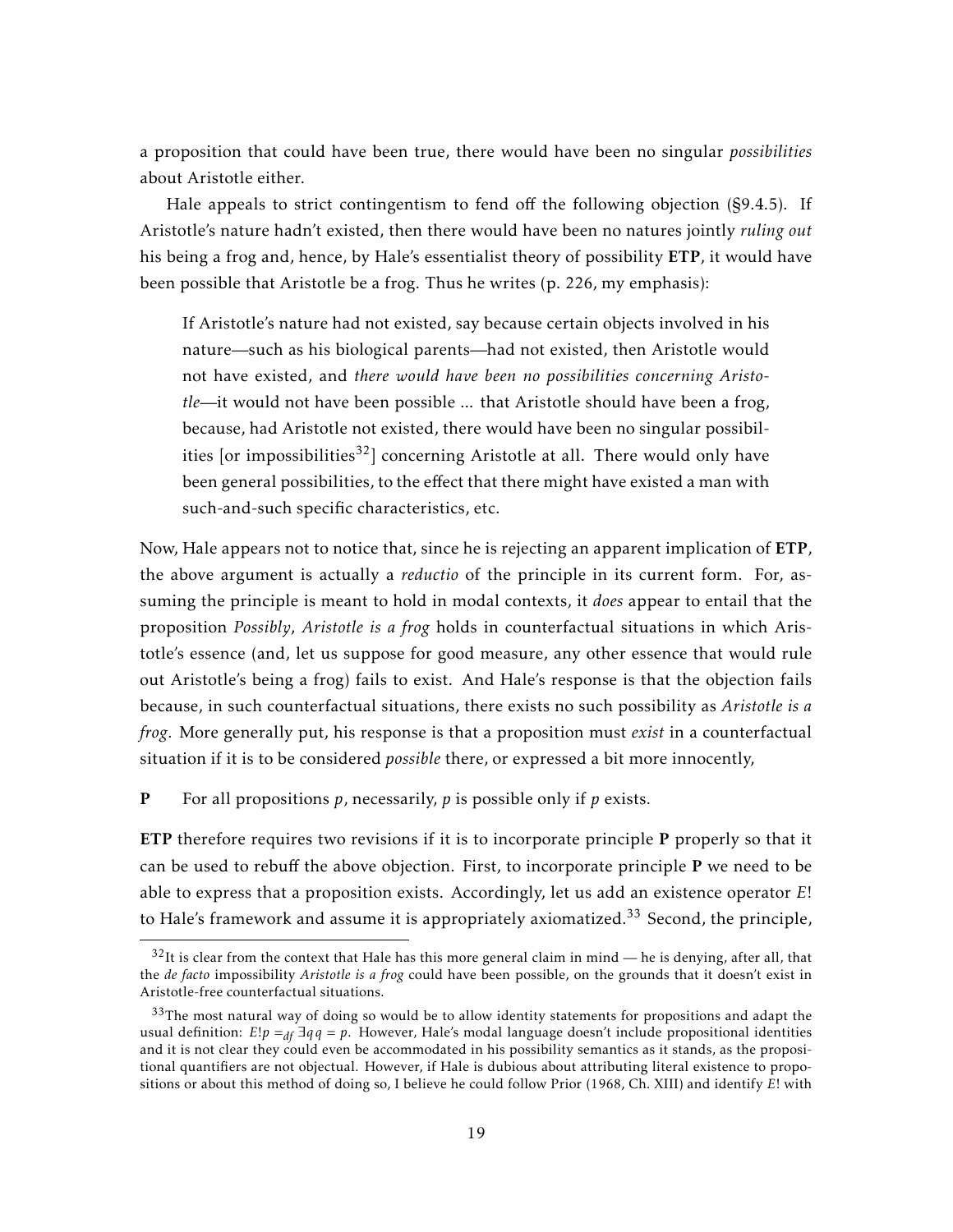a proposition that could have been true, there would have been no singular *possibilities* about Aristotle either.

Hale appeals to strict contingentism to fend off the following objection (§9.4.5). If Aristotle's nature hadn't existed, then there would have been no natures jointly *ruling out* his being a frog and, hence, by Hale's essentialist theory of possibility ETP, it would have been possible that Aristotle be a frog. Thus he writes (p. 226, my emphasis):

If Aristotle's nature had not existed, say because certain objects involved in his nature—such as his biological parents—had not existed, then Aristotle would not have existed, and *there would have been no possibilities concerning Aristotle*—it would not have been possible ... that Aristotle should have been a frog, because, had Aristotle not existed, there would have been no singular possibilities [or impossibilities<sup>32</sup>] concerning Aristotle at all. There would only have been general possibilities, to the effect that there might have existed a man with such-and-such specific characteristics, etc.

Now, Hale appears not to notice that, since he is rejecting an apparent implication of ETP, the above argument is actually a *reductio* of the principle in its current form. For, assuming the principle is meant to hold in modal contexts, it *does* appear to entail that the proposition *Possibly*, *Aristotle is a frog* holds in counterfactual situations in which Aristotle's essence (and, let us suppose for good measure, any other essence that would rule out Aristotle's being a frog) fails to exist. And Hale's response is that the objection fails because, in such counterfactual situations, there exists no such possibility as *Aristotle is a frog*. More generally put, his response is that a proposition must *exist* in a counterfactual situation if it is to be considered *possible* there, or expressed a bit more innocently,

P For all propositions *p*, necessarily, *p* is possible only if *p* exists.

ETP therefore requires two revisions if it is to incorporate principle P properly so that it can be used to rebuff the above objection. First, to incorporate principle P we need to be able to express that a proposition exists. Accordingly, let us add an existence operator *E*! to Hale's framework and assume it is appropriately axiomatized.<sup>33</sup> Second, the principle,

 $32$ It is clear from the context that Hale has this more general claim in mind — he is denying, after all, that the *de facto* impossibility *Aristotle is a frog* could have been possible, on the grounds that it doesn't exist in Aristotle-free counterfactual situations.

 $33$ The most natural way of doing so would be to allow identity statements for propositions and adapt the usual definition: *<sup>E</sup>*!*<sup>p</sup>* <sup>=</sup>*df* <sup>∃</sup>*q q* <sup>=</sup> *<sup>p</sup>*. However, Hale's modal language doesn't include propositional identities and it is not clear they could even be accommodated in his possibility semantics as it stands, as the propositional quantifiers are not objectual. However, if Hale is dubious about attributing literal existence to propositions or about this method of doing so, I believe he could follow Prior (1968, Ch. XIII) and identify *E*! with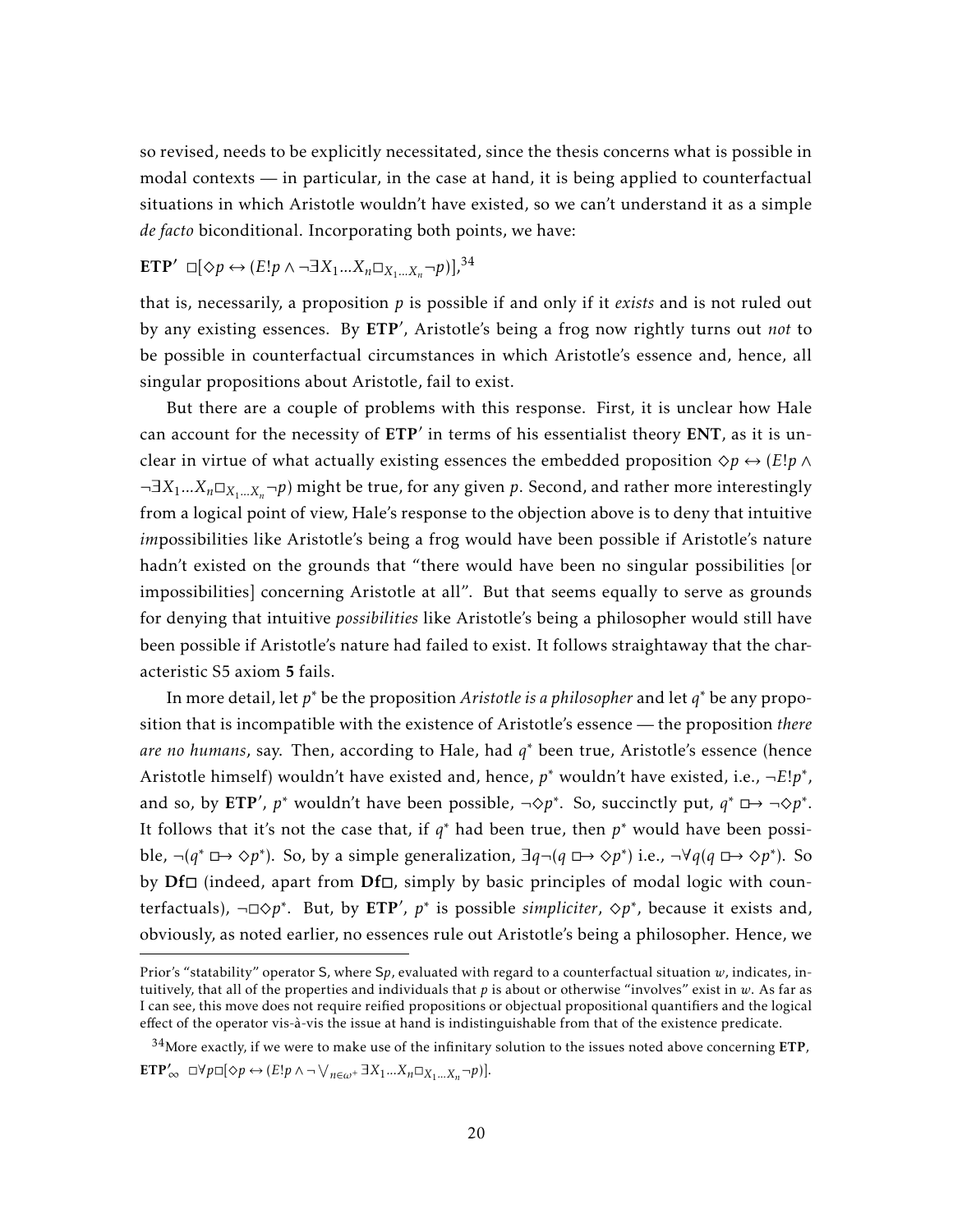so revised, needs to be explicitly necessitated, since the thesis concerns what is possible in modal contexts — in particular, in the case at hand, it is being applied to counterfactual situations in which Aristotle wouldn't have existed, so we can't understand it as a simple *de facto* biconditional. Incorporating both points, we have:

# $\mathbf{ETP'}$  □[ $\diamond p \leftrightarrow (E!p \land \neg \exists X_1 ... X_n \Box_{X_1 ... X_n} \neg p)$ ],<sup>34</sup>

that is, necessarily, a proposition *p* is possible if and only if it *exists* and is not ruled out by any existing essences. By ETP', Aristotle's being a frog now rightly turns out *not* to be possible in counterfactual circumstances in which Aristotle's essence and, hence, all singular propositions about Aristotle, fail to exist.

But there are a couple of problems with this response. First, it is unclear how Hale can account for the necessity of ETP' in terms of his essentialist theory ENT, as it is unclear in virtue of what actually existing essences the embedded proposition  $\diamond p \leftrightarrow (E!p \land p)$ ¬∃*X*<sub>1</sub>...*X*<sub>*n*</sub>□<sub>*X*<sub>1</sub>...*X<sub>n</sub>*¬*p*) might be true, for any given *p*. Second, and rather more interestingly</sub> from a logical point of view, Hale's response to the objection above is to deny that intuitive *im*possibilities like Aristotle's being a frog would have been possible if Aristotle's nature hadn't existed on the grounds that "there would have been no singular possibilities [or impossibilities] concerning Aristotle at all". But that seems equally to serve as grounds for denying that intuitive *possibilities* like Aristotle's being a philosopher would still have been possible if Aristotle's nature had failed to exist. It follows straightaway that the characteristic S5 axiom 5 fails.

In more detail, let *p* <sup>∗</sup> be the proposition *Aristotle is a philosopher* and let *q* <sup>∗</sup> be any proposition that is incompatible with the existence of Aristotle's essence — the proposition *there are no humans*, say. Then, according to Hale, had *q* <sup>∗</sup> been true, Aristotle's essence (hence Aristotle himself) wouldn't have existed and, hence, *p* <sup>∗</sup> wouldn't have existed, i.e., ¬*E*!*p* ∗ , and so, by ETP',  $p^*$  wouldn't have been possible,  $\neg \Diamond p^*$ . So, succinctly put,  $q^* \Box \rightarrow \neg \Diamond p^*$ . It follows that it's not the case that, if  $q^*$  had been true, then  $p^*$  would have been possible, ¬(*q*<sup>\*</sup> □→  $\diamond p$ <sup>\*</sup>). So, by a simple generalization,  $\exists q \neg (q \sqcup \rightarrow \diamond p^*)$  i.e.,  $\neg \forall q (q \sqcup \rightarrow \diamond p^*)$ . So by  $\mathrm{Df}\Box$  (indeed, apart from  $\mathrm{Df}\Box$ , simply by basic principles of modal logic with counterfactuals),  $\neg \Box \Diamond p^*$ . But, by ETP',  $p^*$  is possible *simpliciter*,  $\Diamond p^*$ , because it exists and, obviously, as noted earlier, no essences rule out Aristotle's being a philosopher. Hence, we

Prior's "statability" operator S, where S*p*, evaluated with regard to a counterfactual situation *w*, indicates, intuitively, that all of the properties and individuals that *p* is about or otherwise "involves" exist in *w*. As far as I can see, this move does not require reified propositions or objectual propositional quantifiers and the logical effect of the operator vis-à-vis the issue at hand is indistinguishable from that of the existence predicate.

 $34$ More exactly, if we were to make use of the infinitary solution to the issues noted above concerning ETP,  $\mathbf{ETP}_{\infty}^{\prime} \quad \Box \forall p \Box [\Diamond p \leftrightarrow (E!p \land \neg \lor_{n \in \omega^+} \exists X_1 ... X_n \Box_{X_1 ... X_n} \neg p)].$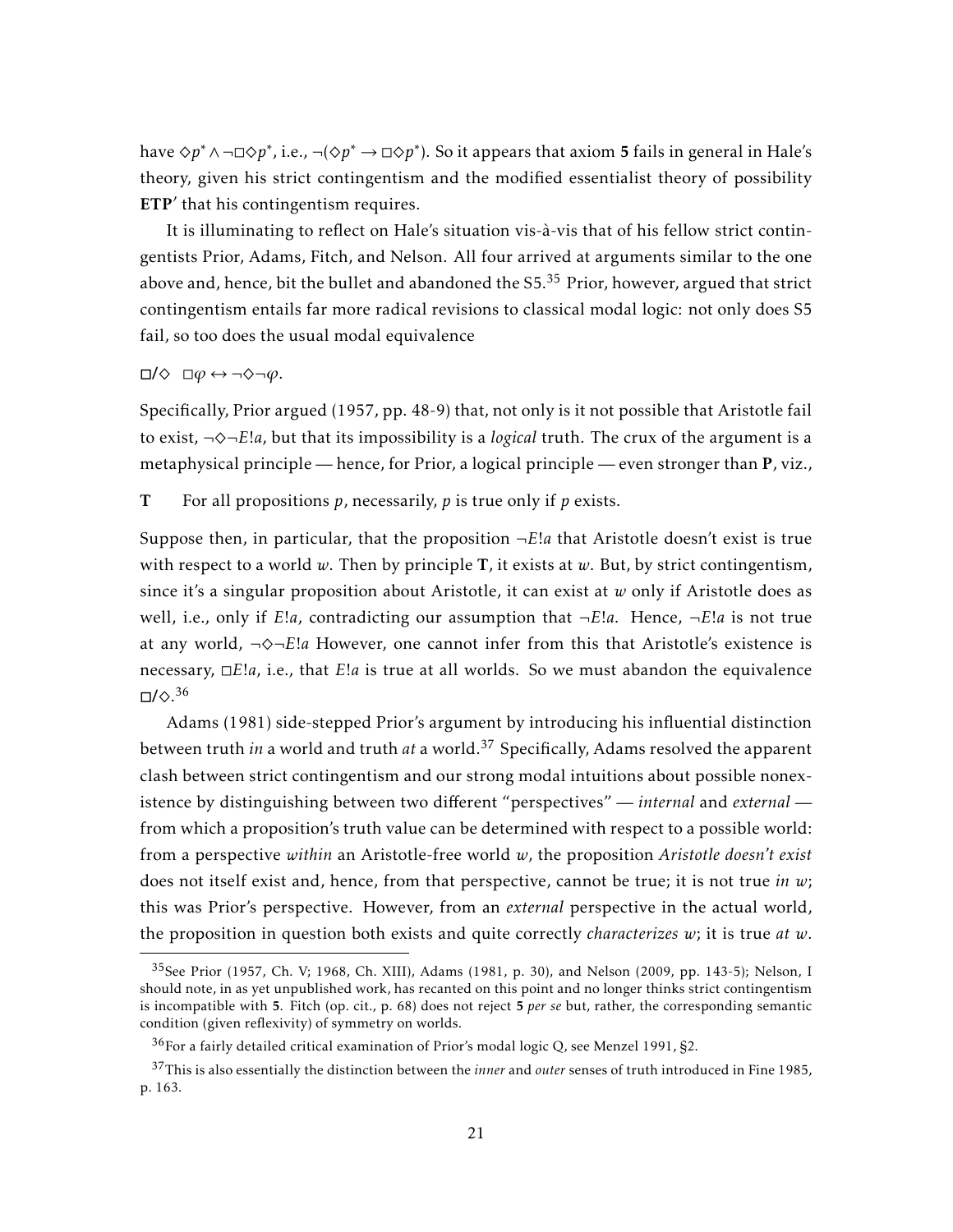have  $\diamond p^* \land \neg \Box \diamond p^*$ , i.e.,  $\neg(\diamond p^* \to \Box \diamond p^*)$ . So it appears that axiom **5** fails in general in Hale's theory, given his strict contingentism and the modified essentialist theory of possibility ETP' that his contingentism requires.

It is illuminating to reflect on Hale's situation vis-à-vis that of his fellow strict contingentists Prior, Adams, Fitch, and Nelson. All four arrived at arguments similar to the one above and, hence, bit the bullet and abandoned the  $55<sup>35</sup>$  Prior, however, argued that strict contingentism entails far more radical revisions to classical modal logic: not only does S5 fail, so too does the usual modal equivalence

 $\Box$ /◇  $\Box$ *ϕ* ↔ ¬◇¬*ϕ*.

Specifically, Prior argued (1957, pp. 48-9) that, not only is it not possible that Aristotle fail to exist,  $\neg \Diamond \neg E$ !*a*, but that its impossibility is a *logical* truth. The crux of the argument is a metaphysical principle — hence, for Prior, a logical principle — even stronger than P, viz.,

T For all propositions *p*, necessarily, *p* is true only if *p* exists.

Suppose then, in particular, that the proposition  $\neg E$ !*a* that Aristotle doesn't exist is true with respect to a world *w*. Then by principle T, it exists at *w*. But, by strict contingentism, since it's a singular proposition about Aristotle, it can exist at *w* only if Aristotle does as well, i.e., only if *E!a*, contradicting our assumption that  $\neg E$ !*a*. Hence,  $\neg E$ !*a* is not true at any world,  $\neg \Diamond \neg E$ !*a* However, one cannot infer from this that Aristotle's existence is necessary,  $\Box E$ !*a*, i.e., that *E*!*a* is true at all worlds. So we must abandon the equivalence  $\square/\diamondsuit$ .<sup>36</sup>

Adams (1981) side-stepped Prior's argument by introducing his influential distinction between truth *in* a world and truth *at* a world.<sup>37</sup> Specifically, Adams resolved the apparent clash between strict contingentism and our strong modal intuitions about possible nonexistence by distinguishing between two different "perspectives" — *internal* and *external* from which a proposition's truth value can be determined with respect to a possible world: from a perspective *within* an Aristotle-free world *w*, the proposition *Aristotle doesn't exist* does not itself exist and, hence, from that perspective, cannot be true; it is not true *in w*; this was Prior's perspective. However, from an *external* perspective in the actual world, the proposition in question both exists and quite correctly *characterizes w*; it is true *at w*.

<sup>35</sup>See Prior (1957, Ch. V; 1968, Ch. XIII), Adams (1981, p. 30), and Nelson (2009, pp. 143-5); Nelson, I should note, in as yet unpublished work, has recanted on this point and no longer thinks strict contingentism is incompatible with 5. Fitch (op. cit., p. 68) does not reject 5 *per se* but, rather, the corresponding semantic condition (given reflexivity) of symmetry on worlds.

 $36$  For a fairly detailed critical examination of Prior's modal logic Q, see Menzel 1991, §2.

<sup>37</sup>This is also essentially the distinction between the *inner* and *outer* senses of truth introduced in Fine 1985, p. 163.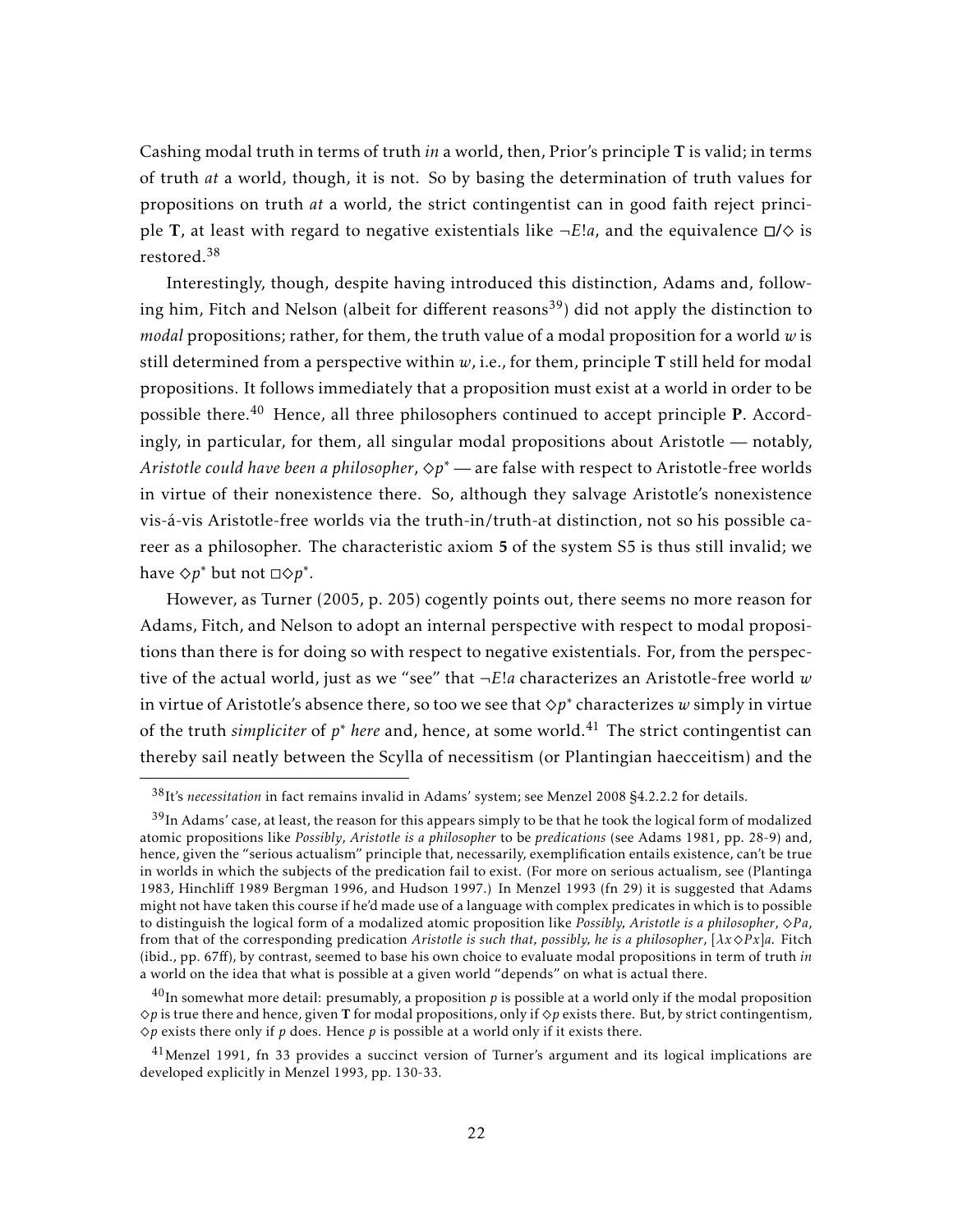Cashing modal truth in terms of truth *in* a world, then, Prior's principle T is valid; in terms of truth *at* a world, though, it is not. So by basing the determination of truth values for propositions on truth *at* a world, the strict contingentist can in good faith reject principle T, at least with regard to negative existentials like  $\neg E \cdot a$ , and the equivalence  $\Box / \Diamond$  is restored.<sup>38</sup>

Interestingly, though, despite having introduced this distinction, Adams and, following him, Fitch and Nelson (albeit for different reasons<sup>39</sup>) did not apply the distinction to *modal* propositions; rather, for them, the truth value of a modal proposition for a world *w* is still determined from a perspective within  $w$ , i.e., for them, principle  $T$  still held for modal propositions. It follows immediately that a proposition must exist at a world in order to be possible there.<sup>40</sup> Hence, all three philosophers continued to accept principle P. Accordingly, in particular, for them, all singular modal propositions about Aristotle — notably, *Aristotle could have been a philosopher,*  $\diamond p^\ast$  — are false with respect to Aristotle-free worlds in virtue of their nonexistence there. So, although they salvage Aristotle's nonexistence vis-á-vis Aristotle-free worlds via the truth-in/truth-at distinction, not so his possible career as a philosopher. The characteristic axiom 5 of the system S5 is thus still invalid; we have  $\diamond p^*$  but not  $\Box \diamond p^*$ .

However, as Turner (2005, p. 205) cogently points out, there seems no more reason for Adams, Fitch, and Nelson to adopt an internal perspective with respect to modal propositions than there is for doing so with respect to negative existentials. For, from the perspective of the actual world, just as we "see" that ¬*E*!*a* characterizes an Aristotle-free world *w* in virtue of Aristotle's absence there, so too we see that  $\diamond p^\ast$  characterizes  $w$  simply in virtue of the truth *simpliciter* of *p* <sup>∗</sup> *here* and, hence, at some world.<sup>41</sup> The strict contingentist can thereby sail neatly between the Scylla of necessitism (or Plantingian haecceitism) and the

<sup>38</sup>It's *necessitation* in fact remains invalid in Adams' system; see Menzel 2008 §4.2.2.2 for details.

<sup>&</sup>lt;sup>39</sup>In Adams' case, at least, the reason for this appears simply to be that he took the logical form of modalized atomic propositions like *Possibly*, *Aristotle is a philosopher* to be *predications* (see Adams 1981, pp. 28-9) and, hence, given the "serious actualism" principle that, necessarily, exemplification entails existence, can't be true in worlds in which the subjects of the predication fail to exist. (For more on serious actualism, see (Plantinga 1983, Hinchliff 1989 Bergman 1996, and Hudson 1997.) In Menzel 1993 (fn 29) it is suggested that Adams might not have taken this course if he'd made use of a language with complex predicates in which is to possible to distinguish the logical form of a modalized atomic proposition like *Possibly, Aristotle is a philosopher*, ^*P a*, from that of the corresponding predication *Aristotle is such that, possibly, he is a philosopher*,  $[\lambda x \Diamond P x]a$ . Fitch (ibid., pp. 67ff), by contrast, seemed to base his own choice to evaluate modal propositions in term of truth *in* a world on the idea that what is possible at a given world "depends" on what is actual there.

<sup>40</sup>In somewhat more detail: presumably, a proposition *p* is possible at a world only if the modal proposition  $\Diamond p$  is true there and hence, given T for modal propositions, only if  $\Diamond p$  exists there. But, by strict contingentism,  $\Diamond p$  exists there only if *p* does. Hence *p* is possible at a world only if it exists there.

 $^{41}$ Menzel 1991, fn 33 provides a succinct version of Turner's argument and its logical implications are developed explicitly in Menzel 1993, pp. 130-33.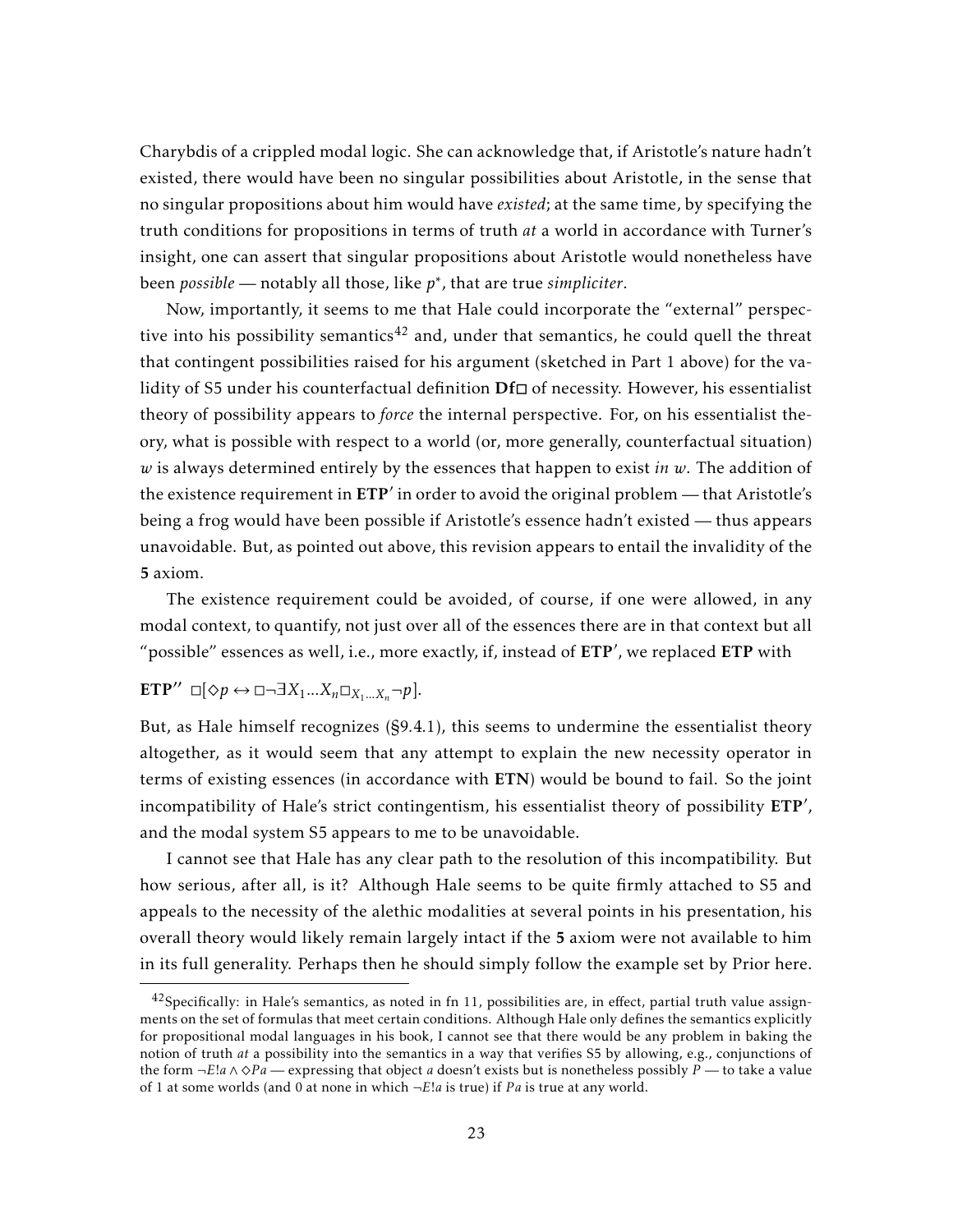Charybdis of a crippled modal logic. She can acknowledge that, if Aristotle's nature hadn't existed, there would have been no singular possibilities about Aristotle, in the sense that no singular propositions about him would have *existed*; at the same time, by specifying the truth conditions for propositions in terms of truth *at* a world in accordance with Turner's insight, one can assert that singular propositions about Aristotle would nonetheless have been *possible* — notably all those, like *p* ∗ , that are true *simpliciter*.

Now, importantly, it seems to me that Hale could incorporate the "external" perspective into his possibility semantics<sup>42</sup> and, under that semantics, he could quell the threat that contingent possibilities raised for his argument (sketched in Part 1 above) for the validity of S5 under his counterfactual definition  $Df\Box$  of necessity. However, his essentialist theory of possibility appears to *force* the internal perspective. For, on his essentialist theory, what is possible with respect to a world (or, more generally, counterfactual situation) *w* is always determined entirely by the essences that happen to exist *in w*. The addition of the existence requirement in  $ETP'$  in order to avoid the original problem — that Aristotle's being a frog would have been possible if Aristotle's essence hadn't existed — thus appears unavoidable. But, as pointed out above, this revision appears to entail the invalidity of the 5 axiom.

The existence requirement could be avoided, of course, if one were allowed, in any modal context, to quantify, not just over all of the essences there are in that context but all "possible" essences as well, i.e., more exactly, if, instead of ETP', we replaced ETP with

# $\mathbf{ETP''} \square [\diamond p \leftrightarrow \square \neg \exists X_1 ... X_n \square_{X_1 ... X_n} \neg p].$

But, as Hale himself recognizes (§9*.*4*.*1), this seems to undermine the essentialist theory altogether, as it would seem that any attempt to explain the new necessity operator in terms of existing essences (in accordance with ETN) would be bound to fail. So the joint incompatibility of Hale's strict contingentism, his essentialist theory of possibility ETP', and the modal system S5 appears to me to be unavoidable.

I cannot see that Hale has any clear path to the resolution of this incompatibility. But how serious, after all, is it? Although Hale seems to be quite firmly attached to S5 and appeals to the necessity of the alethic modalities at several points in his presentation, his overall theory would likely remain largely intact if the 5 axiom were not available to him in its full generality. Perhaps then he should simply follow the example set by Prior here.

 $^{42}$ Specifically: in Hale's semantics, as noted in fn 11, possibilities are, in effect, partial truth value assignments on the set of formulas that meet certain conditions. Although Hale only defines the semantics explicitly for propositional modal languages in his book, I cannot see that there would be any problem in baking the notion of truth *at* a possibility into the semantics in a way that verifies S5 by allowing, e.g., conjunctions of the form ¬*E*!*a*∧ ^*P a* — expressing that object *a* doesn't exists but is nonetheless possibly *P* — to take a value of 1 at some worlds (and 0 at none in which  $\neg E!a$  is true) if *Pa* is true at any world.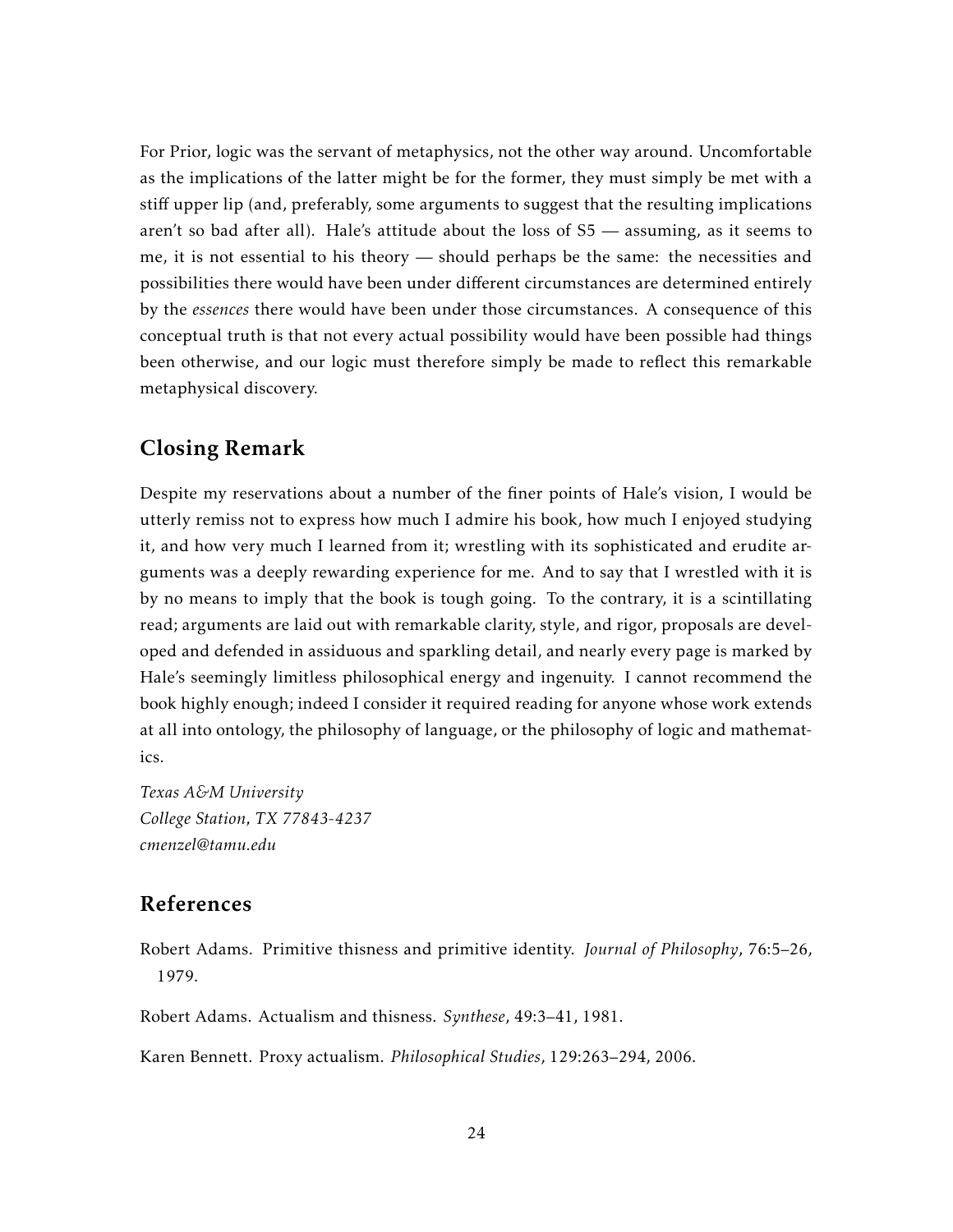For Prior, logic was the servant of metaphysics, not the other way around. Uncomfortable as the implications of the latter might be for the former, they must simply be met with a stiff upper lip (and, preferably, some arguments to suggest that the resulting implications aren't so bad after all). Hale's attitude about the loss of S5 — assuming, as it seems to me, it is not essential to his theory — should perhaps be the same: the necessities and possibilities there would have been under different circumstances are determined entirely by the *essences* there would have been under those circumstances. A consequence of this conceptual truth is that not every actual possibility would have been possible had things been otherwise, and our logic must therefore simply be made to reflect this remarkable metaphysical discovery.

## Closing Remark

Despite my reservations about a number of the finer points of Hale's vision, I would be utterly remiss not to express how much I admire his book, how much I enjoyed studying it, and how very much I learned from it; wrestling with its sophisticated and erudite arguments was a deeply rewarding experience for me. And to say that I wrestled with it is by no means to imply that the book is tough going. To the contrary, it is a scintillating read; arguments are laid out with remarkable clarity, style, and rigor, proposals are developed and defended in assiduous and sparkling detail, and nearly every page is marked by Hale's seemingly limitless philosophical energy and ingenuity. I cannot recommend the book highly enough; indeed I consider it required reading for anyone whose work extends at all into ontology, the philosophy of language, or the philosophy of logic and mathematics.

*Texas A&M University College Station, TX 77843-4237 cmenzel@tamu.edu*

### References

Robert Adams. Primitive thisness and primitive identity. *Journal of Philosophy*, 76:5–26, 1979.

Robert Adams. Actualism and thisness. *Synthese*, 49:3–41, 1981.

Karen Bennett. Proxy actualism. *Philosophical Studies*, 129:263–294, 2006.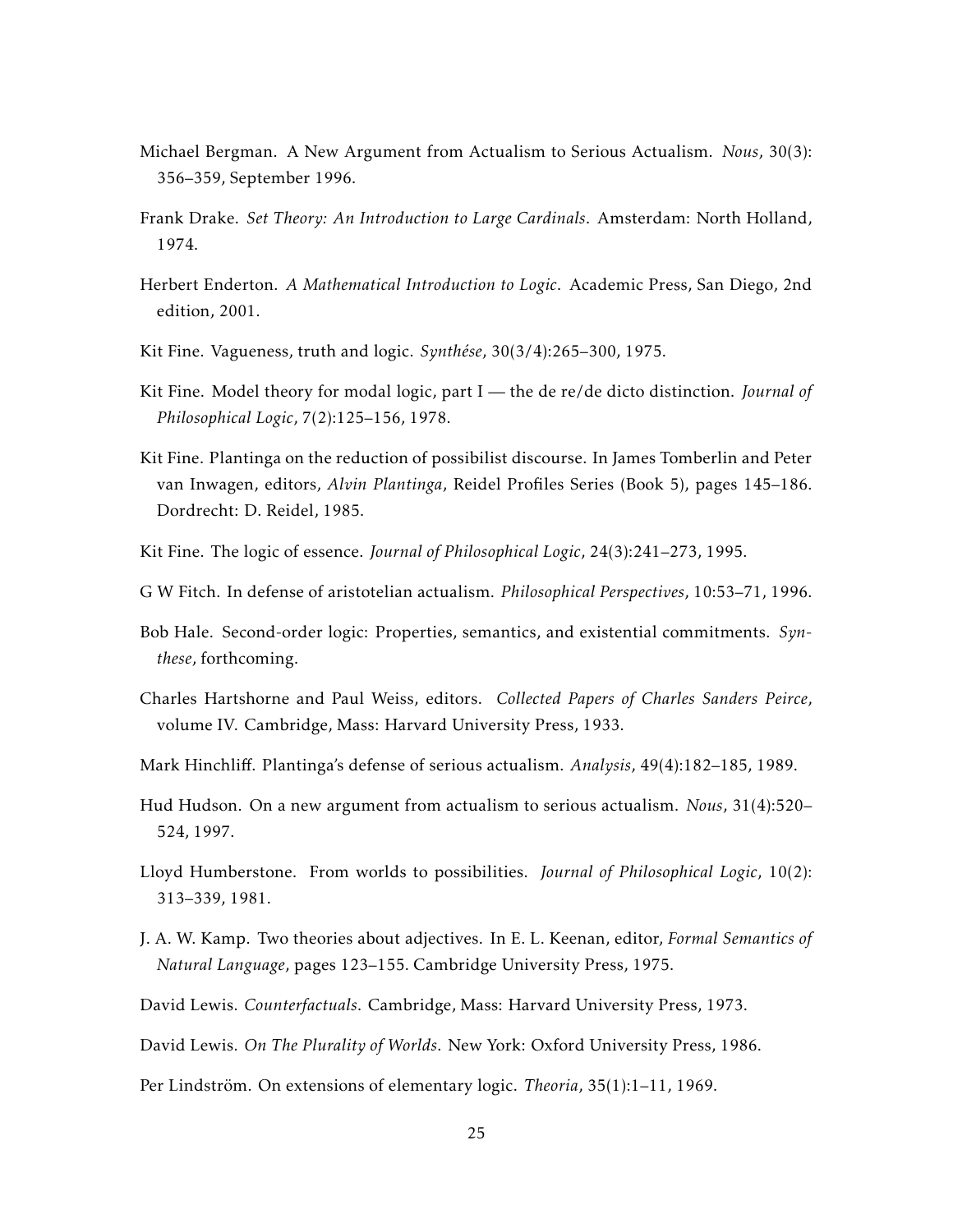- Michael Bergman. A New Argument from Actualism to Serious Actualism. *Nous*, 30(3): 356–359, September 1996.
- Frank Drake. *Set Theory: An Introduction to Large Cardinals*. Amsterdam: North Holland, 1974.
- Herbert Enderton. *A Mathematical Introduction to Logic*. Academic Press, San Diego, 2nd edition, 2001.
- Kit Fine. Vagueness, truth and logic. *Synthése*, 30(3/4):265–300, 1975.
- Kit Fine. Model theory for modal logic, part I the de re/de dicto distinction. *Journal of Philosophical Logic*, 7(2):125–156, 1978.
- Kit Fine. Plantinga on the reduction of possibilist discourse. In James Tomberlin and Peter van Inwagen, editors, *Alvin Plantinga*, Reidel Profiles Series (Book 5), pages 145–186. Dordrecht: D. Reidel, 1985.
- Kit Fine. The logic of essence. *Journal of Philosophical Logic*, 24(3):241–273, 1995.
- G W Fitch. In defense of aristotelian actualism. *Philosophical Perspectives*, 10:53–71, 1996.
- Bob Hale. Second-order logic: Properties, semantics, and existential commitments. *Synthese*, forthcoming.
- Charles Hartshorne and Paul Weiss, editors. *Collected Papers of Charles Sanders Peirce*, volume IV. Cambridge, Mass: Harvard University Press, 1933.
- Mark Hinchliff. Plantinga's defense of serious actualism. *Analysis*, 49(4):182–185, 1989.
- Hud Hudson. On a new argument from actualism to serious actualism. *Nous*, 31(4):520– 524, 1997.
- Lloyd Humberstone. From worlds to possibilities. *Journal of Philosophical Logic*, 10(2): 313–339, 1981.
- J. A. W. Kamp. Two theories about adjectives. In E. L. Keenan, editor, *Formal Semantics of Natural Language*, pages 123–155. Cambridge University Press, 1975.
- David Lewis. *Counterfactuals*. Cambridge, Mass: Harvard University Press, 1973.
- David Lewis. *On The Plurality of Worlds*. New York: Oxford University Press, 1986.
- Per Lindström. On extensions of elementary logic. *Theoria*, 35(1):1–11, 1969.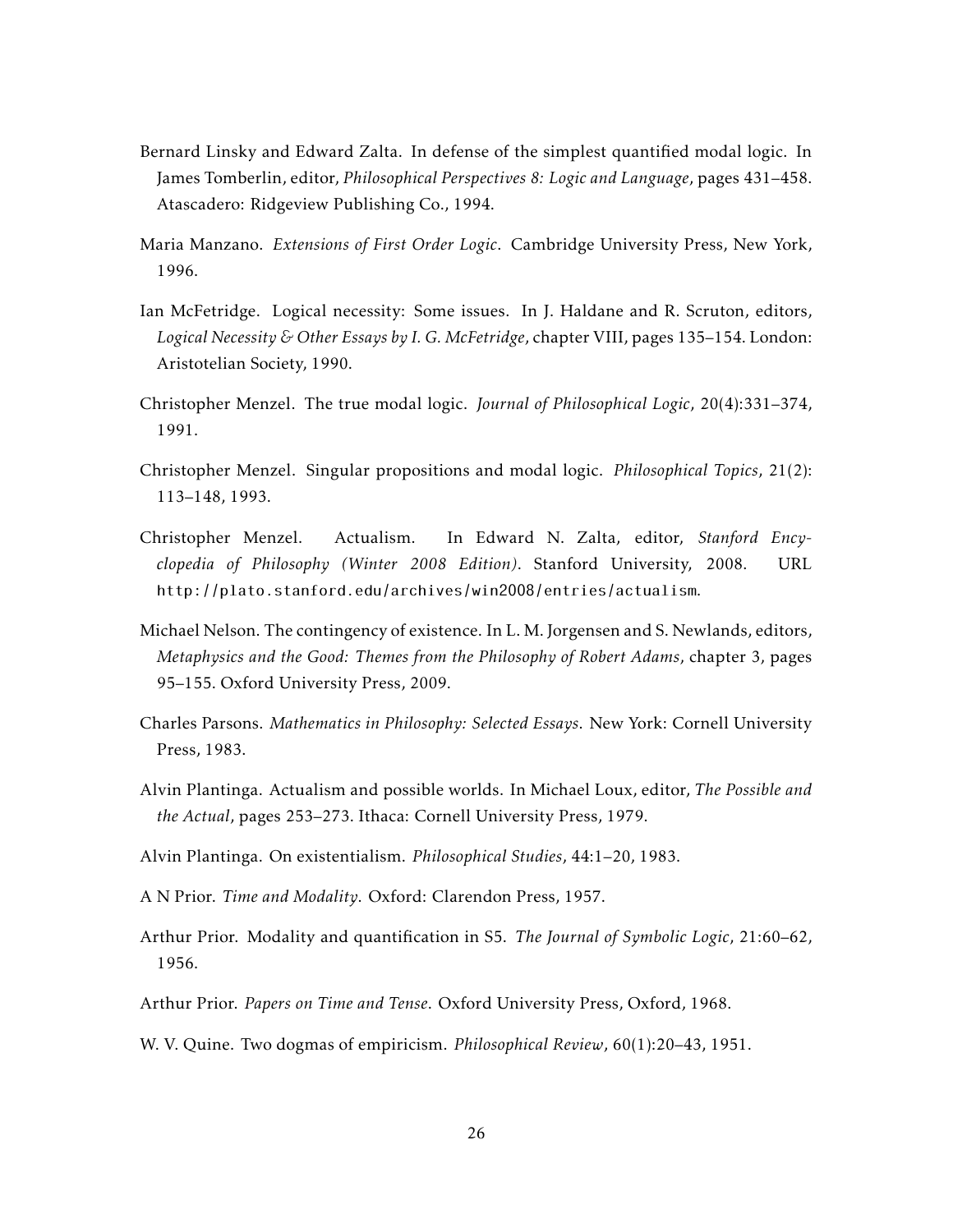- Bernard Linsky and Edward Zalta. In defense of the simplest quantified modal logic. In James Tomberlin, editor, *Philosophical Perspectives 8: Logic and Language*, pages 431–458. Atascadero: Ridgeview Publishing Co., 1994.
- Maria Manzano. *Extensions of First Order Logic*. Cambridge University Press, New York, 1996.
- Ian McFetridge. Logical necessity: Some issues. In J. Haldane and R. Scruton, editors, *Logical Necessity & Other Essays by I. G. McFetridge*, chapter VIII, pages 135–154. London: Aristotelian Society, 1990.
- Christopher Menzel. The true modal logic. *Journal of Philosophical Logic*, 20(4):331–374, 1991.
- Christopher Menzel. Singular propositions and modal logic. *Philosophical Topics*, 21(2): 113–148, 1993.
- Christopher Menzel. Actualism. In Edward N. Zalta, editor, *Stanford Encyclopedia of Philosophy (Winter 2008 Edition)*. Stanford University, 2008. URL http://plato.stanford.edu/archives/win2008/entries/actualism.
- Michael Nelson. The contingency of existence. In L. M. Jorgensen and S. Newlands, editors, *Metaphysics and the Good: Themes from the Philosophy of Robert Adams*, chapter 3, pages 95–155. Oxford University Press, 2009.
- Charles Parsons. *Mathematics in Philosophy: Selected Essays*. New York: Cornell University Press, 1983.
- Alvin Plantinga. Actualism and possible worlds. In Michael Loux, editor, *The Possible and the Actual*, pages 253–273. Ithaca: Cornell University Press, 1979.
- Alvin Plantinga. On existentialism. *Philosophical Studies*, 44:1–20, 1983.
- A N Prior. *Time and Modality*. Oxford: Clarendon Press, 1957.
- Arthur Prior. Modality and quantification in S5. *The Journal of Symbolic Logic*, 21:60–62, 1956.
- Arthur Prior. *Papers on Time and Tense*. Oxford University Press, Oxford, 1968.
- W. V. Quine. Two dogmas of empiricism. *Philosophical Review*, 60(1):20–43, 1951.